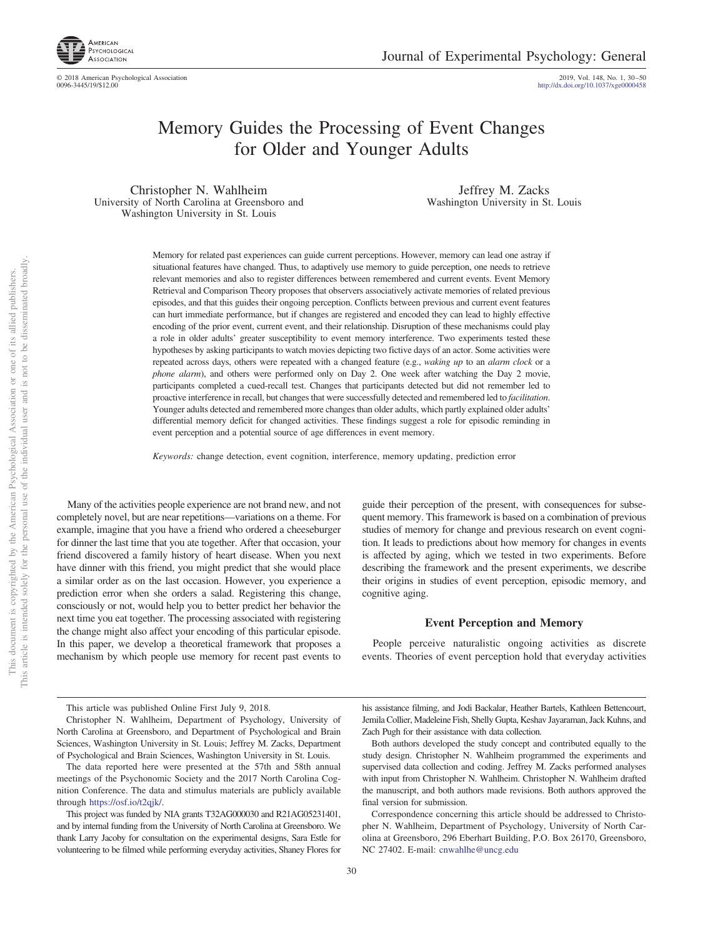

# Memory Guides the Processing of Event Changes for Older and Younger Adults

Christopher N. Wahlheim University of North Carolina at Greensboro and Washington University in St. Louis

Jeffrey M. Zacks Washington University in St. Louis

Memory for related past experiences can guide current perceptions. However, memory can lead one astray if situational features have changed. Thus, to adaptively use memory to guide perception, one needs to retrieve relevant memories and also to register differences between remembered and current events. Event Memory Retrieval and Comparison Theory proposes that observers associatively activate memories of related previous episodes, and that this guides their ongoing perception. Conflicts between previous and current event features can hurt immediate performance, but if changes are registered and encoded they can lead to highly effective encoding of the prior event, current event, and their relationship. Disruption of these mechanisms could play a role in older adults' greater susceptibility to event memory interference. Two experiments tested these hypotheses by asking participants to watch movies depicting two fictive days of an actor. Some activities were repeated across days, others were repeated with a changed feature (e.g., *waking up* to an *alarm clock* or a *phone alarm*), and others were performed only on Day 2. One week after watching the Day 2 movie, participants completed a cued-recall test. Changes that participants detected but did not remember led to proactive interference in recall, but changes that were successfully detected and remembered led to *facilitation*. Younger adults detected and remembered more changes than older adults, which partly explained older adults' differential memory deficit for changed activities. These findings suggest a role for episodic reminding in event perception and a potential source of age differences in event memory.

*Keywords:* change detection, event cognition, interference, memory updating, prediction error

Many of the activities people experience are not brand new, and not completely novel, but are near repetitions—variations on a theme. For example, imagine that you have a friend who ordered a cheeseburger for dinner the last time that you ate together. After that occasion, your friend discovered a family history of heart disease. When you next have dinner with this friend, you might predict that she would place a similar order as on the last occasion. However, you experience a prediction error when she orders a salad. Registering this change, consciously or not, would help you to better predict her behavior the next time you eat together. The processing associated with registering the change might also affect your encoding of this particular episode. In this paper, we develop a theoretical framework that proposes a mechanism by which people use memory for recent past events to

guide their perception of the present, with consequences for subsequent memory. This framework is based on a combination of previous studies of memory for change and previous research on event cognition. It leads to predictions about how memory for changes in events is affected by aging, which we tested in two experiments. Before describing the framework and the present experiments, we describe their origins in studies of event perception, episodic memory, and cognitive aging.

#### **Event Perception and Memory**

People perceive naturalistic ongoing activities as discrete events. Theories of event perception hold that everyday activities

This article was published Online First July 9, 2018.

Christopher N. Wahlheim, Department of Psychology, University of North Carolina at Greensboro, and Department of Psychological and Brain Sciences, Washington University in St. Louis; Jeffrey M. Zacks, Department of Psychological and Brain Sciences, Washington University in St. Louis.

This project was funded by NIA grants T32AG000030 and R21AG05231401, and by internal funding from the University of North Carolina at Greensboro. We thank Larry Jacoby for consultation on the experimental designs, Sara Estle for volunteering to be filmed while performing everyday activities, Shaney Flores for his assistance filming, and Jodi Backalar, Heather Bartels, Kathleen Bettencourt, Jemila Collier, Madeleine Fish, Shelly Gupta, Keshav Jayaraman, Jack Kuhns, and Zach Pugh for their assistance with data collection.

Both authors developed the study concept and contributed equally to the study design. Christopher N. Wahlheim programmed the experiments and supervised data collection and coding. Jeffrey M. Zacks performed analyses with input from Christopher N. Wahlheim. Christopher N. Wahlheim drafted the manuscript, and both authors made revisions. Both authors approved the final version for submission.

Correspondence concerning this article should be addressed to Christopher N. Wahlheim, Department of Psychology, University of North Carolina at Greensboro, 296 Eberhart Building, P.O. Box 26170, Greensboro, NC 27402. E-mail: [cnwahlhe@uncg.edu](mailto:cnwahlhe@uncg.edu)

The data reported here were presented at the 57th and 58th annual meetings of the Psychonomic Society and the 2017 North Carolina Cognition Conference. The data and stimulus materials are publicly available through [https://osf.io/t2qjk/.](https://osf.io/t2qjk/)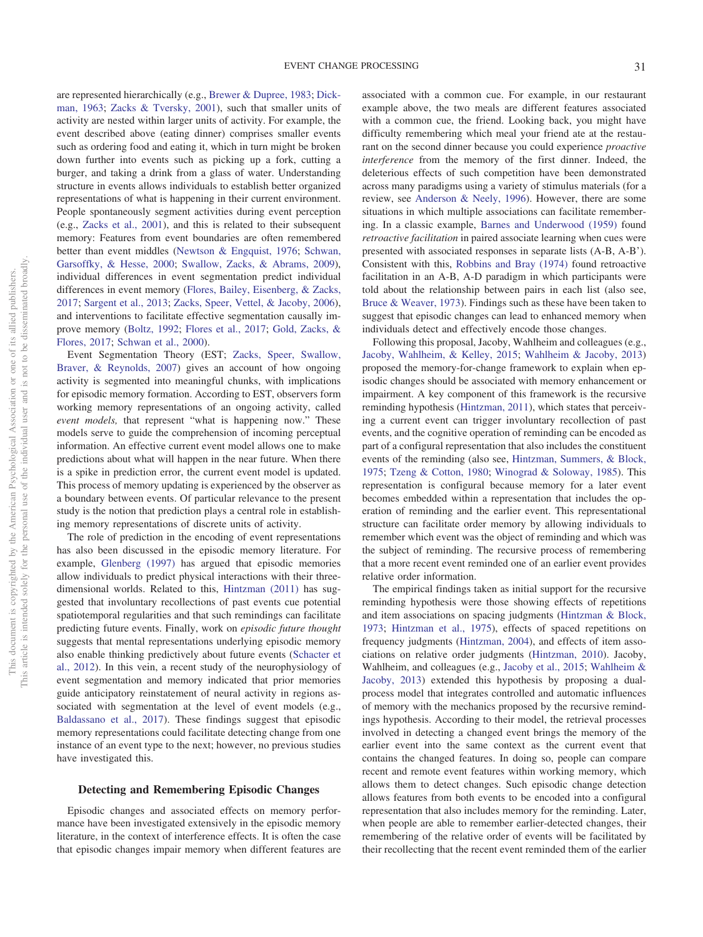are represented hierarchically (e.g., [Brewer & Dupree, 1983;](#page-19-0) [Dick](#page-19-1)[man, 1963;](#page-19-1) [Zacks & Tversky, 2001\)](#page-20-0), such that smaller units of activity are nested within larger units of activity. For example, the event described above (eating dinner) comprises smaller events such as ordering food and eating it, which in turn might be broken down further into events such as picking up a fork, cutting a burger, and taking a drink from a glass of water. Understanding structure in events allows individuals to establish better organized representations of what is happening in their current environment. People spontaneously segment activities during event perception (e.g., [Zacks et al., 2001\)](#page-20-1), and this is related to their subsequent memory: Features from event boundaries are often remembered better than event middles [\(Newtson & Engquist, 1976;](#page-20-2) [Schwan,](#page-20-3) [Garsoffky, & Hesse, 2000;](#page-20-3) [Swallow, Zacks, & Abrams, 2009\)](#page-20-4), individual differences in event segmentation predict individual differences in event memory [\(Flores, Bailey, Eisenberg, & Zacks,](#page-19-2) [2017;](#page-19-2) [Sargent et al., 2013;](#page-20-5) [Zacks, Speer, Vettel, & Jacoby, 2006\)](#page-20-6), and interventions to facilitate effective segmentation causally improve memory [\(Boltz, 1992;](#page-19-3) [Flores et al., 2017;](#page-19-2) [Gold, Zacks, &](#page-19-4) [Flores, 2017;](#page-19-4) [Schwan et al., 2000\)](#page-20-3).

Event Segmentation Theory (EST; [Zacks, Speer, Swallow,](#page-20-7) [Braver, & Reynolds, 2007\)](#page-20-7) gives an account of how ongoing activity is segmented into meaningful chunks, with implications for episodic memory formation. According to EST, observers form working memory representations of an ongoing activity, called *event models,* that represent "what is happening now." These models serve to guide the comprehension of incoming perceptual information. An effective current event model allows one to make predictions about what will happen in the near future. When there is a spike in prediction error, the current event model is updated. This process of memory updating is experienced by the observer as a boundary between events. Of particular relevance to the present study is the notion that prediction plays a central role in establishing memory representations of discrete units of activity.

The role of prediction in the encoding of event representations has also been discussed in the episodic memory literature. For example, [Glenberg \(1997\)](#page-19-5) has argued that episodic memories allow individuals to predict physical interactions with their threedimensional worlds. Related to this, [Hintzman \(2011\)](#page-19-6) has suggested that involuntary recollections of past events cue potential spatiotemporal regularities and that such remindings can facilitate predicting future events. Finally, work on *episodic future thought* suggests that mental representations underlying episodic memory also enable thinking predictively about future events [\(Schacter et](#page-20-8) [al., 2012\)](#page-20-8). In this vein, a recent study of the neurophysiology of event segmentation and memory indicated that prior memories guide anticipatory reinstatement of neural activity in regions associated with segmentation at the level of event models (e.g., [Baldassano et al., 2017\)](#page-18-0). These findings suggest that episodic memory representations could facilitate detecting change from one instance of an event type to the next; however, no previous studies have investigated this.

### **Detecting and Remembering Episodic Changes**

Episodic changes and associated effects on memory performance have been investigated extensively in the episodic memory literature, in the context of interference effects. It is often the case that episodic changes impair memory when different features are associated with a common cue. For example, in our restaurant example above, the two meals are different features associated with a common cue, the friend. Looking back, you might have difficulty remembering which meal your friend ate at the restaurant on the second dinner because you could experience *proactive interference* from the memory of the first dinner. Indeed, the deleterious effects of such competition have been demonstrated across many paradigms using a variety of stimulus materials (for a review, see [Anderson & Neely, 1996\)](#page-18-1). However, there are some situations in which multiple associations can facilitate remembering. In a classic example, [Barnes and Underwood \(1959\)](#page-19-7) found *retroactive facilitation* in paired associate learning when cues were presented with associated responses in separate lists (A-B, A-B'). Consistent with this, [Robbins and Bray \(1974\)](#page-20-9) found retroactive facilitation in an A-B, A-D paradigm in which participants were told about the relationship between pairs in each list (also see, [Bruce & Weaver, 1973\)](#page-19-8). Findings such as these have been taken to suggest that episodic changes can lead to enhanced memory when individuals detect and effectively encode those changes.

Following this proposal, Jacoby, Wahlheim and colleagues (e.g., [Jacoby, Wahlheim, & Kelley, 2015;](#page-19-9) [Wahlheim & Jacoby, 2013\)](#page-20-10) proposed the memory-for-change framework to explain when episodic changes should be associated with memory enhancement or impairment. A key component of this framework is the recursive reminding hypothesis [\(Hintzman, 2011\)](#page-19-6), which states that perceiving a current event can trigger involuntary recollection of past events, and the cognitive operation of reminding can be encoded as part of a configural representation that also includes the constituent events of the reminding (also see, [Hintzman, Summers, & Block,](#page-19-10) [1975;](#page-19-10) [Tzeng & Cotton, 1980;](#page-20-11) [Winograd & Soloway, 1985\)](#page-20-12). This representation is configural because memory for a later event becomes embedded within a representation that includes the operation of reminding and the earlier event. This representational structure can facilitate order memory by allowing individuals to remember which event was the object of reminding and which was the subject of reminding. The recursive process of remembering that a more recent event reminded one of an earlier event provides relative order information.

The empirical findings taken as initial support for the recursive reminding hypothesis were those showing effects of repetitions and item associations on spacing judgments [\(Hintzman & Block,](#page-19-11) [1973;](#page-19-11) [Hintzman et al., 1975\)](#page-19-10), effects of spaced repetitions on frequency judgments [\(Hintzman, 2004\)](#page-19-12), and effects of item associations on relative order judgments [\(Hintzman, 2010\)](#page-19-13). Jacoby, Wahlheim, and colleagues (e.g., [Jacoby et al., 2015;](#page-19-9) [Wahlheim &](#page-20-10) [Jacoby, 2013\)](#page-20-10) extended this hypothesis by proposing a dualprocess model that integrates controlled and automatic influences of memory with the mechanics proposed by the recursive remindings hypothesis. According to their model, the retrieval processes involved in detecting a changed event brings the memory of the earlier event into the same context as the current event that contains the changed features. In doing so, people can compare recent and remote event features within working memory, which allows them to detect changes. Such episodic change detection allows features from both events to be encoded into a configural representation that also includes memory for the reminding. Later, when people are able to remember earlier-detected changes, their remembering of the relative order of events will be facilitated by their recollecting that the recent event reminded them of the earlier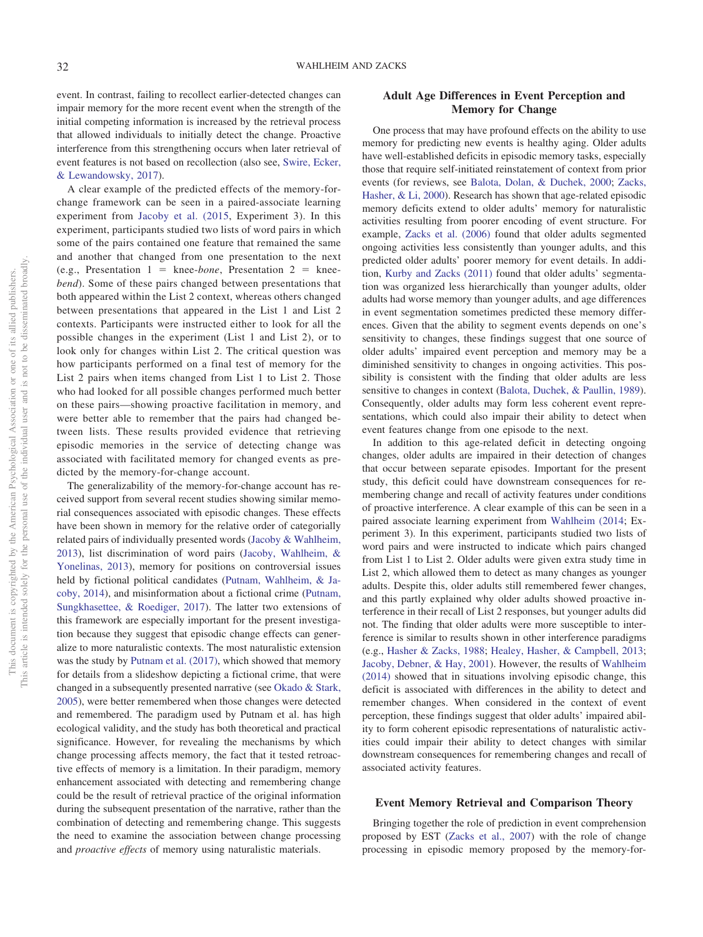event. In contrast, failing to recollect earlier-detected changes can impair memory for the more recent event when the strength of the initial competing information is increased by the retrieval process that allowed individuals to initially detect the change. Proactive interference from this strengthening occurs when later retrieval of event features is not based on recollection (also see, [Swire, Ecker,](#page-20-13) [& Lewandowsky, 2017\)](#page-20-13).

A clear example of the predicted effects of the memory-forchange framework can be seen in a paired-associate learning experiment from [Jacoby et al. \(2015,](#page-19-9) Experiment 3). In this experiment, participants studied two lists of word pairs in which some of the pairs contained one feature that remained the same and another that changed from one presentation to the next  $(e.g.,$  Presentation  $1 =$  knee-*bone*, Presentation  $2 =$  knee*bend*). Some of these pairs changed between presentations that both appeared within the List 2 context, whereas others changed between presentations that appeared in the List 1 and List 2 contexts. Participants were instructed either to look for all the possible changes in the experiment (List 1 and List 2), or to look only for changes within List 2. The critical question was how participants performed on a final test of memory for the List 2 pairs when items changed from List 1 to List 2. Those who had looked for all possible changes performed much better on these pairs—showing proactive facilitation in memory, and were better able to remember that the pairs had changed between lists. These results provided evidence that retrieving episodic memories in the service of detecting change was associated with facilitated memory for changed events as predicted by the memory-for-change account.

The generalizability of the memory-for-change account has received support from several recent studies showing similar memorial consequences associated with episodic changes. These effects have been shown in memory for the relative order of categorially related pairs of individually presented words [\(Jacoby & Wahlheim,](#page-19-14) [2013\)](#page-19-14), list discrimination of word pairs [\(Jacoby, Wahlheim, &](#page-19-15) [Yonelinas, 2013\)](#page-19-15), memory for positions on controversial issues held by fictional political candidates [\(Putnam, Wahlheim, & Ja](#page-20-14)[coby, 2014\)](#page-20-14), and misinformation about a fictional crime [\(Putnam,](#page-20-15) [Sungkhasettee, & Roediger, 2017\)](#page-20-15). The latter two extensions of this framework are especially important for the present investigation because they suggest that episodic change effects can generalize to more naturalistic contexts. The most naturalistic extension was the study by [Putnam et al. \(2017\),](#page-20-15) which showed that memory for details from a slideshow depicting a fictional crime, that were changed in a subsequently presented narrative (see [Okado & Stark,](#page-20-16) [2005\)](#page-20-16), were better remembered when those changes were detected and remembered. The paradigm used by Putnam et al. has high ecological validity, and the study has both theoretical and practical significance. However, for revealing the mechanisms by which change processing affects memory, the fact that it tested retroactive effects of memory is a limitation. In their paradigm, memory enhancement associated with detecting and remembering change could be the result of retrieval practice of the original information during the subsequent presentation of the narrative, rather than the combination of detecting and remembering change. This suggests the need to examine the association between change processing and *proactive effects* of memory using naturalistic materials.

# **Adult Age Differences in Event Perception and Memory for Change**

One process that may have profound effects on the ability to use memory for predicting new events is healthy aging. Older adults have well-established deficits in episodic memory tasks, especially those that require self-initiated reinstatement of context from prior events (for reviews, see [Balota, Dolan, & Duchek, 2000;](#page-18-2) [Zacks,](#page-20-17) [Hasher, & Li, 2000\)](#page-20-17). Research has shown that age-related episodic memory deficits extend to older adults' memory for naturalistic activities resulting from poorer encoding of event structure. For example, [Zacks et al. \(2006\)](#page-20-6) found that older adults segmented ongoing activities less consistently than younger adults, and this predicted older adults' poorer memory for event details. In addition, [Kurby and Zacks \(2011\)](#page-19-16) found that older adults' segmentation was organized less hierarchically than younger adults, older adults had worse memory than younger adults, and age differences in event segmentation sometimes predicted these memory differences. Given that the ability to segment events depends on one's sensitivity to changes, these findings suggest that one source of older adults' impaired event perception and memory may be a diminished sensitivity to changes in ongoing activities. This possibility is consistent with the finding that older adults are less sensitive to changes in context [\(Balota, Duchek, & Paullin, 1989\)](#page-18-3). Consequently, older adults may form less coherent event representations, which could also impair their ability to detect when event features change from one episode to the next.

In addition to this age-related deficit in detecting ongoing changes, older adults are impaired in their detection of changes that occur between separate episodes. Important for the present study, this deficit could have downstream consequences for remembering change and recall of activity features under conditions of proactive interference. A clear example of this can be seen in a paired associate learning experiment from [Wahlheim \(2014;](#page-20-18) Experiment 3). In this experiment, participants studied two lists of word pairs and were instructed to indicate which pairs changed from List 1 to List 2. Older adults were given extra study time in List 2, which allowed them to detect as many changes as younger adults. Despite this, older adults still remembered fewer changes, and this partly explained why older adults showed proactive interference in their recall of List 2 responses, but younger adults did not. The finding that older adults were more susceptible to interference is similar to results shown in other interference paradigms (e.g., [Hasher & Zacks, 1988;](#page-19-17) [Healey, Hasher, & Campbell, 2013;](#page-19-18) [Jacoby, Debner, & Hay, 2001\)](#page-19-19). However, the results of [Wahlheim](#page-20-18) [\(2014\)](#page-20-18) showed that in situations involving episodic change, this deficit is associated with differences in the ability to detect and remember changes. When considered in the context of event perception, these findings suggest that older adults' impaired ability to form coherent episodic representations of naturalistic activities could impair their ability to detect changes with similar downstream consequences for remembering changes and recall of associated activity features.

### **Event Memory Retrieval and Comparison Theory**

Bringing together the role of prediction in event comprehension proposed by EST [\(Zacks et al., 2007\)](#page-20-7) with the role of change processing in episodic memory proposed by the memory-for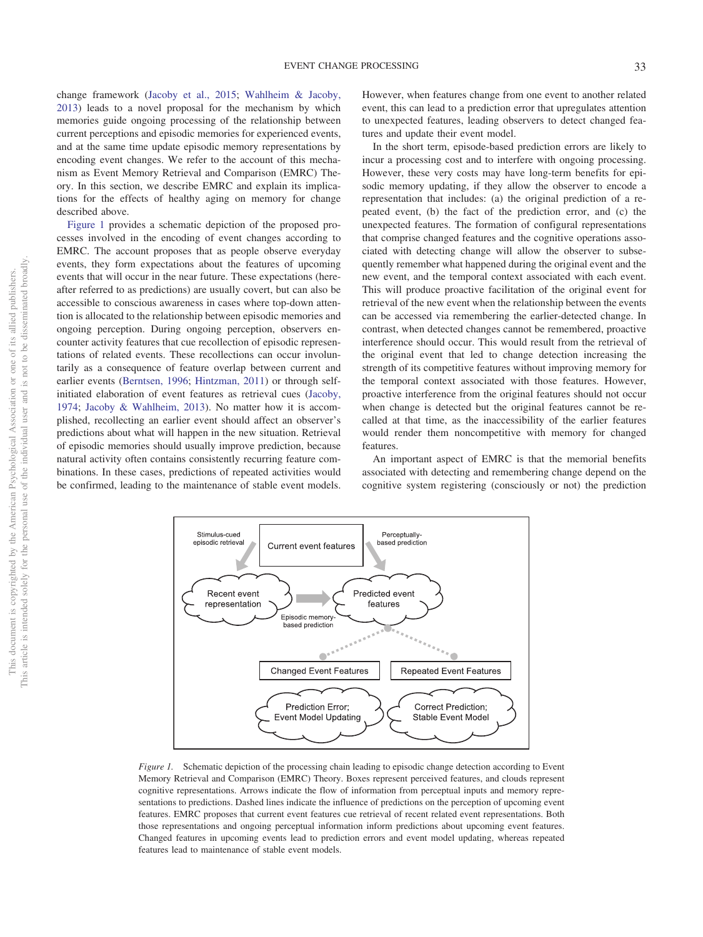change framework [\(Jacoby et al., 2015;](#page-19-9) [Wahlheim & Jacoby,](#page-20-10) [2013\)](#page-20-10) leads to a novel proposal for the mechanism by which memories guide ongoing processing of the relationship between current perceptions and episodic memories for experienced events, and at the same time update episodic memory representations by encoding event changes. We refer to the account of this mechanism as Event Memory Retrieval and Comparison (EMRC) Theory. In this section, we describe EMRC and explain its implications for the effects of healthy aging on memory for change described above.

[Figure 1](#page-3-0) provides a schematic depiction of the proposed processes involved in the encoding of event changes according to EMRC. The account proposes that as people observe everyday events, they form expectations about the features of upcoming events that will occur in the near future. These expectations (hereafter referred to as predictions) are usually covert, but can also be accessible to conscious awareness in cases where top-down attention is allocated to the relationship between episodic memories and ongoing perception. During ongoing perception, observers encounter activity features that cue recollection of episodic representations of related events. These recollections can occur involuntarily as a consequence of feature overlap between current and earlier events [\(Berntsen, 1996;](#page-19-20) [Hintzman, 2011\)](#page-19-6) or through selfinitiated elaboration of event features as retrieval cues [\(Jacoby,](#page-19-21) [1974;](#page-19-21) [Jacoby & Wahlheim, 2013\)](#page-19-14). No matter how it is accomplished, recollecting an earlier event should affect an observer's predictions about what will happen in the new situation. Retrieval of episodic memories should usually improve prediction, because natural activity often contains consistently recurring feature combinations. In these cases, predictions of repeated activities would be confirmed, leading to the maintenance of stable event models.

Stimulus-cued

episodic retrieval

r

Recent event

representation

However, when features change from one event to another related event, this can lead to a prediction error that upregulates attention to unexpected features, leading observers to detect changed features and update their event model.

In the short term, episode-based prediction errors are likely to incur a processing cost and to interfere with ongoing processing. However, these very costs may have long-term benefits for episodic memory updating, if they allow the observer to encode a representation that includes: (a) the original prediction of a repeated event, (b) the fact of the prediction error, and (c) the unexpected features. The formation of configural representations that comprise changed features and the cognitive operations associated with detecting change will allow the observer to subsequently remember what happened during the original event and the new event, and the temporal context associated with each event. This will produce proactive facilitation of the original event for retrieval of the new event when the relationship between the events can be accessed via remembering the earlier-detected change. In contrast, when detected changes cannot be remembered, proactive interference should occur. This would result from the retrieval of the original event that led to change detection increasing the strength of its competitive features without improving memory for the temporal context associated with those features. However, proactive interference from the original features should not occur when change is detected but the original features cannot be recalled at that time, as the inaccessibility of the earlier features would render them noncompetitive with memory for changed features.

An important aspect of EMRC is that the memorial benefits associated with detecting and remembering change depend on the cognitive system registering (consciously or not) the prediction

<span id="page-3-0"></span>

Perceptually

based prediction

**Repeated Event Features** 

**Correct Prediction:** 

Stable Event Model

Predicted event

features

Current event features

Enisodic memore based prediction

**Changed Event Features** 

Prediction Frror: **Event Model Updating**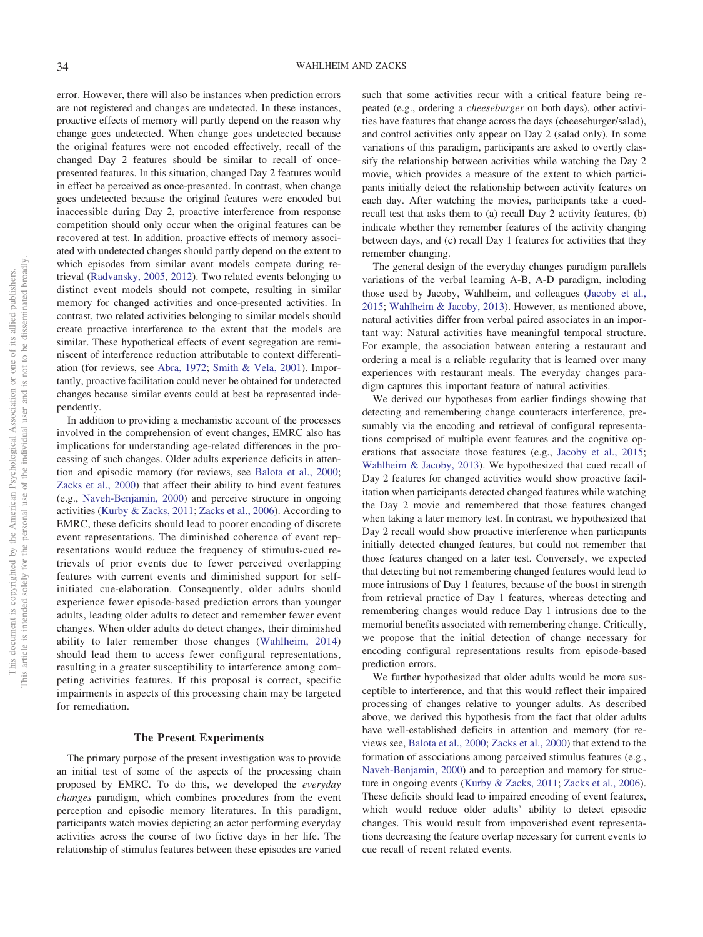error. However, there will also be instances when prediction errors are not registered and changes are undetected. In these instances, proactive effects of memory will partly depend on the reason why change goes undetected. When change goes undetected because the original features were not encoded effectively, recall of the changed Day 2 features should be similar to recall of oncepresented features. In this situation, changed Day 2 features would in effect be perceived as once-presented. In contrast, when change goes undetected because the original features were encoded but inaccessible during Day 2, proactive interference from response competition should only occur when the original features can be recovered at test. In addition, proactive effects of memory associated with undetected changes should partly depend on the extent to which episodes from similar event models compete during retrieval [\(Radvansky, 2005,](#page-20-19) [2012\)](#page-20-20). Two related events belonging to distinct event models should not compete, resulting in similar memory for changed activities and once-presented activities. In contrast, two related activities belonging to similar models should create proactive interference to the extent that the models are similar. These hypothetical effects of event segregation are reminiscent of interference reduction attributable to context differentiation (for reviews, see [Abra, 1972;](#page-18-4) [Smith & Vela, 2001\)](#page-20-21). Importantly, proactive facilitation could never be obtained for undetected changes because similar events could at best be represented independently.

In addition to providing a mechanistic account of the processes involved in the comprehension of event changes, EMRC also has implications for understanding age-related differences in the processing of such changes. Older adults experience deficits in attention and episodic memory (for reviews, see [Balota et al., 2000;](#page-18-2) [Zacks et al., 2000\)](#page-20-17) that affect their ability to bind event features (e.g., [Naveh-Benjamin, 2000\)](#page-20-22) and perceive structure in ongoing activities [\(Kurby & Zacks, 2011;](#page-19-16) [Zacks et al., 2006\)](#page-20-6). According to EMRC, these deficits should lead to poorer encoding of discrete event representations. The diminished coherence of event representations would reduce the frequency of stimulus-cued retrievals of prior events due to fewer perceived overlapping features with current events and diminished support for selfinitiated cue-elaboration. Consequently, older adults should experience fewer episode-based prediction errors than younger adults, leading older adults to detect and remember fewer event changes. When older adults do detect changes, their diminished ability to later remember those changes [\(Wahlheim, 2014\)](#page-20-18) should lead them to access fewer configural representations, resulting in a greater susceptibility to interference among competing activities features. If this proposal is correct, specific impairments in aspects of this processing chain may be targeted for remediation.

### **The Present Experiments**

The primary purpose of the present investigation was to provide an initial test of some of the aspects of the processing chain proposed by EMRC. To do this, we developed the *everyday changes* paradigm, which combines procedures from the event perception and episodic memory literatures. In this paradigm, participants watch movies depicting an actor performing everyday activities across the course of two fictive days in her life. The relationship of stimulus features between these episodes are varied such that some activities recur with a critical feature being repeated (e.g., ordering a *cheeseburger* on both days), other activities have features that change across the days (cheeseburger/salad), and control activities only appear on Day 2 (salad only). In some variations of this paradigm, participants are asked to overtly classify the relationship between activities while watching the Day 2 movie, which provides a measure of the extent to which participants initially detect the relationship between activity features on each day. After watching the movies, participants take a cuedrecall test that asks them to (a) recall Day 2 activity features, (b) indicate whether they remember features of the activity changing between days, and (c) recall Day 1 features for activities that they remember changing.

The general design of the everyday changes paradigm parallels variations of the verbal learning A-B, A-D paradigm, including those used by Jacoby, Wahlheim, and colleagues [\(Jacoby et al.,](#page-19-9) [2015;](#page-19-9) [Wahlheim & Jacoby, 2013\)](#page-20-10). However, as mentioned above, natural activities differ from verbal paired associates in an important way: Natural activities have meaningful temporal structure. For example, the association between entering a restaurant and ordering a meal is a reliable regularity that is learned over many experiences with restaurant meals. The everyday changes paradigm captures this important feature of natural activities.

We derived our hypotheses from earlier findings showing that detecting and remembering change counteracts interference, presumably via the encoding and retrieval of configural representations comprised of multiple event features and the cognitive operations that associate those features (e.g., [Jacoby et al., 2015;](#page-19-9) [Wahlheim & Jacoby, 2013\)](#page-20-10). We hypothesized that cued recall of Day 2 features for changed activities would show proactive facilitation when participants detected changed features while watching the Day 2 movie and remembered that those features changed when taking a later memory test. In contrast, we hypothesized that Day 2 recall would show proactive interference when participants initially detected changed features, but could not remember that those features changed on a later test. Conversely, we expected that detecting but not remembering changed features would lead to more intrusions of Day 1 features, because of the boost in strength from retrieval practice of Day 1 features, whereas detecting and remembering changes would reduce Day 1 intrusions due to the memorial benefits associated with remembering change. Critically, we propose that the initial detection of change necessary for encoding configural representations results from episode-based prediction errors.

We further hypothesized that older adults would be more susceptible to interference, and that this would reflect their impaired processing of changes relative to younger adults. As described above, we derived this hypothesis from the fact that older adults have well-established deficits in attention and memory (for reviews see, [Balota et al., 2000;](#page-18-2) [Zacks et al., 2000\)](#page-20-17) that extend to the formation of associations among perceived stimulus features (e.g., [Naveh-Benjamin, 2000\)](#page-20-22) and to perception and memory for structure in ongoing events [\(Kurby & Zacks, 2011;](#page-19-16) [Zacks et al., 2006\)](#page-20-6). These deficits should lead to impaired encoding of event features, which would reduce older adults' ability to detect episodic changes. This would result from impoverished event representations decreasing the feature overlap necessary for current events to cue recall of recent related events.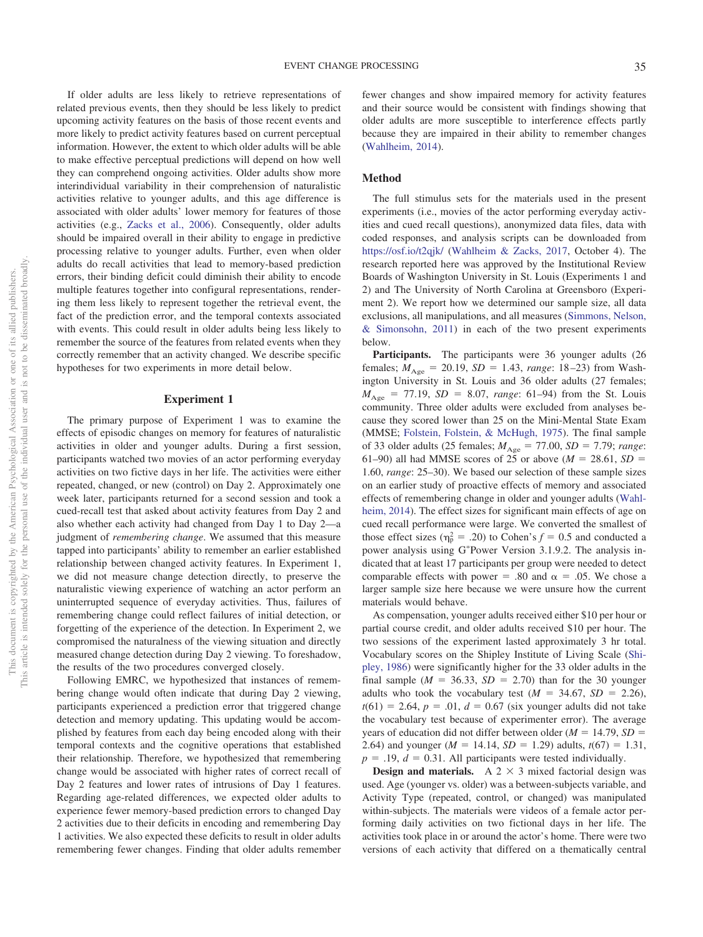If older adults are less likely to retrieve representations of related previous events, then they should be less likely to predict upcoming activity features on the basis of those recent events and more likely to predict activity features based on current perceptual information. However, the extent to which older adults will be able to make effective perceptual predictions will depend on how well they can comprehend ongoing activities. Older adults show more interindividual variability in their comprehension of naturalistic activities relative to younger adults, and this age difference is associated with older adults' lower memory for features of those activities (e.g., [Zacks et al., 2006\)](#page-20-6). Consequently, older adults should be impaired overall in their ability to engage in predictive processing relative to younger adults. Further, even when older adults do recall activities that lead to memory-based prediction errors, their binding deficit could diminish their ability to encode multiple features together into configural representations, rendering them less likely to represent together the retrieval event, the fact of the prediction error, and the temporal contexts associated with events. This could result in older adults being less likely to remember the source of the features from related events when they correctly remember that an activity changed. We describe specific hypotheses for two experiments in more detail below.

#### **Experiment 1**

The primary purpose of Experiment 1 was to examine the effects of episodic changes on memory for features of naturalistic activities in older and younger adults. During a first session, participants watched two movies of an actor performing everyday activities on two fictive days in her life. The activities were either repeated, changed, or new (control) on Day 2. Approximately one week later, participants returned for a second session and took a cued-recall test that asked about activity features from Day 2 and also whether each activity had changed from Day 1 to Day 2—a judgment of *remembering change*. We assumed that this measure tapped into participants' ability to remember an earlier established relationship between changed activity features. In Experiment 1, we did not measure change detection directly, to preserve the naturalistic viewing experience of watching an actor perform an uninterrupted sequence of everyday activities. Thus, failures of remembering change could reflect failures of initial detection, or forgetting of the experience of the detection. In Experiment 2, we compromised the naturalness of the viewing situation and directly measured change detection during Day 2 viewing. To foreshadow, the results of the two procedures converged closely.

Following EMRC, we hypothesized that instances of remembering change would often indicate that during Day 2 viewing, participants experienced a prediction error that triggered change detection and memory updating. This updating would be accomplished by features from each day being encoded along with their temporal contexts and the cognitive operations that established their relationship. Therefore, we hypothesized that remembering change would be associated with higher rates of correct recall of Day 2 features and lower rates of intrusions of Day 1 features. Regarding age-related differences, we expected older adults to experience fewer memory-based prediction errors to changed Day 2 activities due to their deficits in encoding and remembering Day 1 activities. We also expected these deficits to result in older adults remembering fewer changes. Finding that older adults remember

fewer changes and show impaired memory for activity features and their source would be consistent with findings showing that older adults are more susceptible to interference effects partly because they are impaired in their ability to remember changes [\(Wahlheim, 2014\)](#page-20-18).

## **Method**

The full stimulus sets for the materials used in the present experiments (i.e., movies of the actor performing everyday activities and cued recall questions), anonymized data files, data with coded responses, and analysis scripts can be downloaded from <https://osf.io/t2qjk/> [\(Wahlheim & Zacks, 2017,](#page-20-23) October 4). The research reported here was approved by the Institutional Review Boards of Washington University in St. Louis (Experiments 1 and 2) and The University of North Carolina at Greensboro (Experiment 2). We report how we determined our sample size, all data exclusions, all manipulations, and all measures [\(Simmons, Nelson,](#page-20-24) [& Simonsohn, 2011\)](#page-20-24) in each of the two present experiments below.

**Participants.** The participants were 36 younger adults (26 females;  $M_{\text{Age}} = 20.19$ ,  $SD = 1.43$ , *range*: 18–23) from Washington University in St. Louis and 36 older adults (27 females;  $M_{\text{Age}} = 77.19$ ,  $SD = 8.07$ , *range*: 61–94) from the St. Louis community. Three older adults were excluded from analyses because they scored lower than 25 on the Mini-Mental State Exam (MMSE; [Folstein, Folstein, & McHugh, 1975\)](#page-19-22). The final sample of 33 older adults (25 females;  $M_{\text{Age}} = 77.00, SD = 7.79$ ; *range*: 61–90) all had MMSE scores of 25 or above ( $M = 28.61$ ,  $SD =$ 1.60, *range*: 25–30). We based our selection of these sample sizes on an earlier study of proactive effects of memory and associated effects of remembering change in older and younger adults [\(Wahl](#page-20-18)[heim, 2014\)](#page-20-18). The effect sizes for significant main effects of age on cued recall performance were large. We converted the smallest of those effect sizes ( $\eta_p^2 = .20$ ) to Cohen's  $f = 0.5$  and conducted a power analysis using G\*Power Version 3.1.9.2. The analysis indicated that at least 17 participants per group were needed to detect comparable effects with power = .80 and  $\alpha$  = .05. We chose a larger sample size here because we were unsure how the current materials would behave.

As compensation, younger adults received either \$10 per hour or partial course credit, and older adults received \$10 per hour. The two sessions of the experiment lasted approximately 3 hr total. Vocabulary scores on the Shipley Institute of Living Scale [\(Shi](#page-20-25)[pley, 1986\)](#page-20-25) were significantly higher for the 33 older adults in the final sample ( $M = 36.33$ ,  $SD = 2.70$ ) than for the 30 younger adults who took the vocabulary test  $(M = 34.67, SD = 2.26)$ ,  $t(61) = 2.64, p = .01, d = 0.67$  (six younger adults did not take the vocabulary test because of experimenter error). The average years of education did not differ between older  $(M = 14.79, SD =$ 2.64) and younger ( $M = 14.14$ ,  $SD = 1.29$ ) adults,  $t(67) = 1.31$ ,  $p = .19$ ,  $d = 0.31$ . All participants were tested individually.

**Design and materials.** A  $2 \times 3$  mixed factorial design was used. Age (younger vs. older) was a between-subjects variable, and Activity Type (repeated, control, or changed) was manipulated within-subjects. The materials were videos of a female actor performing daily activities on two fictional days in her life. The activities took place in or around the actor's home. There were two versions of each activity that differed on a thematically central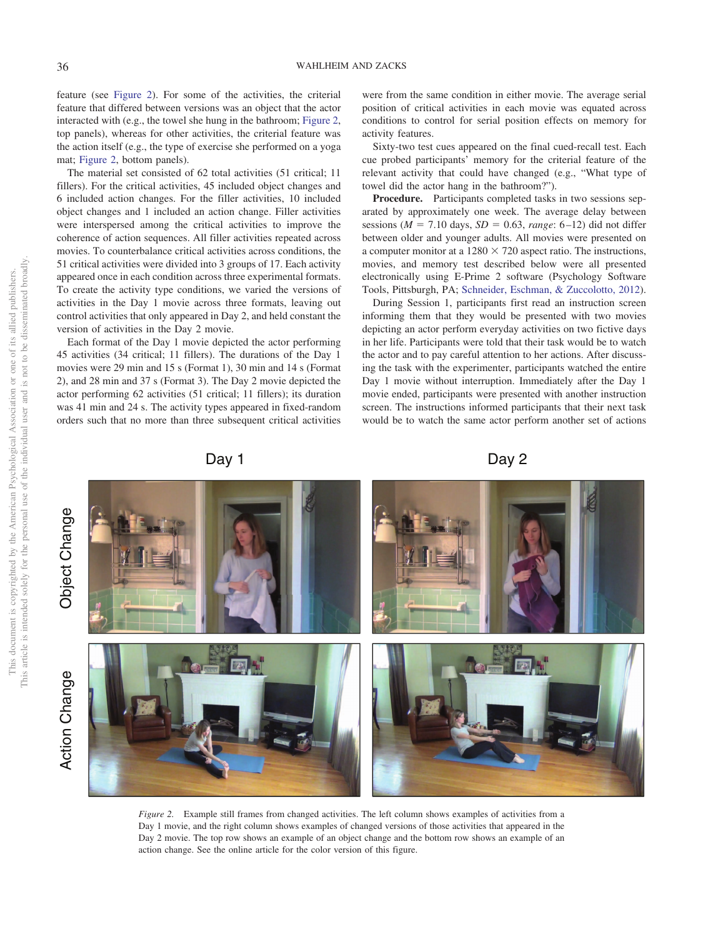feature (see [Figure 2\)](#page-6-0). For some of the activities, the criterial feature that differed between versions was an object that the actor interacted with (e.g., the towel she hung in the bathroom; [Figure 2,](#page-6-0) top panels), whereas for other activities, the criterial feature was the action itself (e.g., the type of exercise she performed on a yoga mat; [Figure 2,](#page-6-0) bottom panels).

The material set consisted of 62 total activities (51 critical; 11 fillers). For the critical activities, 45 included object changes and 6 included action changes. For the filler activities, 10 included object changes and 1 included an action change. Filler activities were interspersed among the critical activities to improve the coherence of action sequences. All filler activities repeated across movies. To counterbalance critical activities across conditions, the 51 critical activities were divided into 3 groups of 17. Each activity appeared once in each condition across three experimental formats. To create the activity type conditions, we varied the versions of activities in the Day 1 movie across three formats, leaving out control activities that only appeared in Day 2, and held constant the version of activities in the Day 2 movie.

Each format of the Day 1 movie depicted the actor performing 45 activities (34 critical; 11 fillers). The durations of the Day 1 movies were 29 min and 15 s (Format 1), 30 min and 14 s (Format 2), and 28 min and 37 s (Format 3). The Day 2 movie depicted the actor performing 62 activities (51 critical; 11 fillers); its duration was 41 min and 24 s. The activity types appeared in fixed-random orders such that no more than three subsequent critical activities

were from the same condition in either movie. The average serial position of critical activities in each movie was equated across conditions to control for serial position effects on memory for activity features.

Sixty-two test cues appeared on the final cued-recall test. Each cue probed participants' memory for the criterial feature of the relevant activity that could have changed (e.g., "What type of towel did the actor hang in the bathroom?").

**Procedure.** Participants completed tasks in two sessions separated by approximately one week. The average delay between sessions ( $M = 7.10$  days,  $SD = 0.63$ , *range*: 6–12) did not differ between older and younger adults. All movies were presented on a computer monitor at a  $1280 \times 720$  aspect ratio. The instructions, movies, and memory test described below were all presented electronically using E-Prime 2 software (Psychology Software Tools, Pittsburgh, PA; [Schneider, Eschman, & Zuccolotto, 2012\)](#page-20-26).

During Session 1, participants first read an instruction screen informing them that they would be presented with two movies depicting an actor perform everyday activities on two fictive days in her life. Participants were told that their task would be to watch the actor and to pay careful attention to her actions. After discussing the task with the experimenter, participants watched the entire Day 1 movie without interruption. Immediately after the Day 1 movie ended, participants were presented with another instruction screen. The instructions informed participants that their next task would be to watch the same actor perform another set of actions

Day 1 Day 2

<span id="page-6-0"></span>

*Figure 2.* Example still frames from changed activities. The left column shows examples of activities from a Day 1 movie, and the right column shows examples of changed versions of those activities that appeared in the Day 2 movie. The top row shows an example of an object change and the bottom row shows an example of an action change. See the online article for the color version of this figure.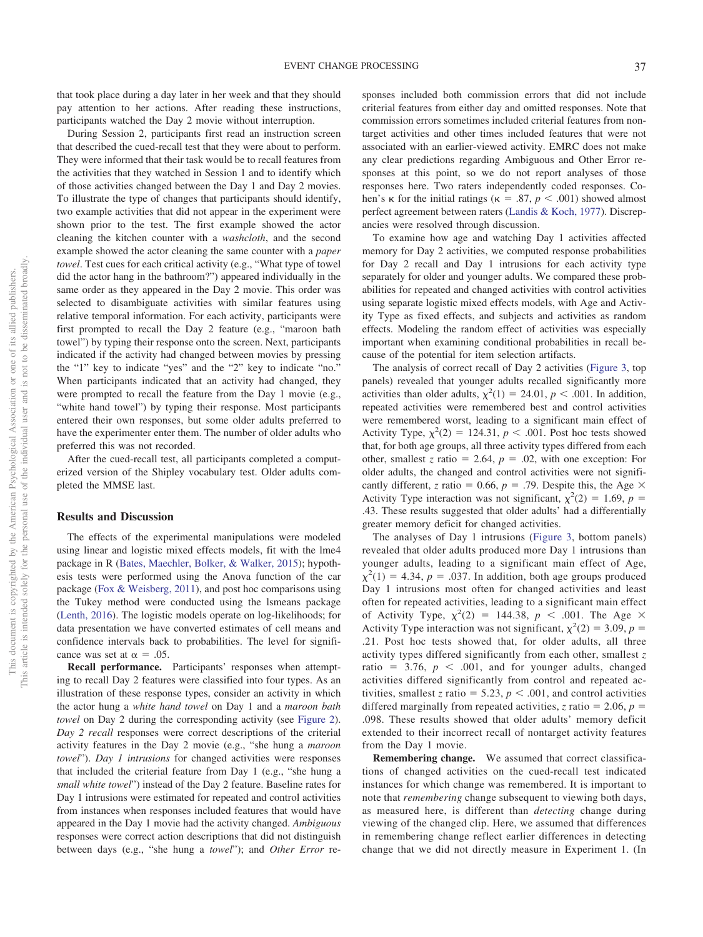that took place during a day later in her week and that they should pay attention to her actions. After reading these instructions, participants watched the Day 2 movie without interruption.

During Session 2, participants first read an instruction screen that described the cued-recall test that they were about to perform. They were informed that their task would be to recall features from the activities that they watched in Session 1 and to identify which of those activities changed between the Day 1 and Day 2 movies. To illustrate the type of changes that participants should identify, two example activities that did not appear in the experiment were shown prior to the test. The first example showed the actor cleaning the kitchen counter with a *washcloth*, and the second example showed the actor cleaning the same counter with a *paper towel*. Test cues for each critical activity (e.g., "What type of towel did the actor hang in the bathroom?") appeared individually in the same order as they appeared in the Day 2 movie. This order was selected to disambiguate activities with similar features using relative temporal information. For each activity, participants were first prompted to recall the Day 2 feature (e.g., "maroon bath towel") by typing their response onto the screen. Next, participants indicated if the activity had changed between movies by pressing the "1" key to indicate "yes" and the "2" key to indicate "no." When participants indicated that an activity had changed, they were prompted to recall the feature from the Day 1 movie (e.g., "white hand towel") by typing their response. Most participants entered their own responses, but some older adults preferred to have the experimenter enter them. The number of older adults who preferred this was not recorded.

After the cued-recall test, all participants completed a computerized version of the Shipley vocabulary test. Older adults completed the MMSE last.

#### **Results and Discussion**

The effects of the experimental manipulations were modeled using linear and logistic mixed effects models, fit with the lme4 package in R [\(Bates, Maechler, Bolker, & Walker, 2015\)](#page-19-23); hypothesis tests were performed using the Anova function of the car package [\(Fox & Weisberg, 2011\)](#page-19-24), and post hoc comparisons using the Tukey method were conducted using the lsmeans package [\(Lenth, 2016\)](#page-19-25). The logistic models operate on log-likelihoods; for data presentation we have converted estimates of cell means and confidence intervals back to probabilities. The level for significance was set at  $\alpha = .05$ .

**Recall performance.** Participants' responses when attempting to recall Day 2 features were classified into four types. As an illustration of these response types, consider an activity in which the actor hung a *white hand towel* on Day 1 and a *maroon bath towel* on Day 2 during the corresponding activity (see [Figure 2\)](#page-6-0). *Day 2 recall* responses were correct descriptions of the criterial activity features in the Day 2 movie (e.g., "she hung a *maroon towel*"). *Day 1 intrusions* for changed activities were responses that included the criterial feature from Day 1 (e.g., "she hung a *small white towel*") instead of the Day 2 feature. Baseline rates for Day 1 intrusions were estimated for repeated and control activities from instances when responses included features that would have appeared in the Day 1 movie had the activity changed. *Ambiguous* responses were correct action descriptions that did not distinguish between days (e.g., "she hung a *towel*"); and *Other Error* responses included both commission errors that did not include criterial features from either day and omitted responses. Note that commission errors sometimes included criterial features from nontarget activities and other times included features that were not associated with an earlier-viewed activity. EMRC does not make any clear predictions regarding Ambiguous and Other Error responses at this point, so we do not report analyses of those responses here. Two raters independently coded responses. Cohen's  $\kappa$  for the initial ratings ( $\kappa = .87$ ,  $p < .001$ ) showed almost perfect agreement between raters [\(Landis & Koch, 1977\)](#page-19-26). Discrepancies were resolved through discussion.

To examine how age and watching Day 1 activities affected memory for Day 2 activities, we computed response probabilities for Day 2 recall and Day 1 intrusions for each activity type separately for older and younger adults. We compared these probabilities for repeated and changed activities with control activities using separate logistic mixed effects models, with Age and Activity Type as fixed effects, and subjects and activities as random effects. Modeling the random effect of activities was especially important when examining conditional probabilities in recall because of the potential for item selection artifacts.

The analysis of correct recall of Day 2 activities [\(Figure 3,](#page-8-0) top panels) revealed that younger adults recalled significantly more activities than older adults,  $\chi^2(1) = 24.01$ ,  $p < .001$ . In addition, repeated activities were remembered best and control activities were remembered worst, leading to a significant main effect of Activity Type,  $\chi^2(2) = 124.31$ ,  $p < .001$ . Post hoc tests showed that, for both age groups, all three activity types differed from each other, smallest *z* ratio = 2.64,  $p = .02$ , with one exception: For older adults, the changed and control activities were not significantly different, *z* ratio = 0.66,  $p = .79$ . Despite this, the Age  $\times$ Activity Type interaction was not significant,  $\chi^2(2) = 1.69$ ,  $p =$ .43. These results suggested that older adults' had a differentially greater memory deficit for changed activities.

The analyses of Day 1 intrusions [\(Figure 3,](#page-8-0) bottom panels) revealed that older adults produced more Day 1 intrusions than younger adults, leading to a significant main effect of Age,  $\chi^2(1) = 4.34$ ,  $p = .037$ . In addition, both age groups produced Day 1 intrusions most often for changed activities and least often for repeated activities, leading to a significant main effect of Activity Type,  $\chi^2(2) = 144.38$ ,  $p < .001$ . The Age  $\times$ Activity Type interaction was not significant,  $\chi^2(2) = 3.09$ ,  $p =$ .21. Post hoc tests showed that, for older adults, all three activity types differed significantly from each other, smallest *z* ratio =  $3.76$ ,  $p < .001$ , and for younger adults, changed activities differed significantly from control and repeated activities, smallest *z* ratio = 5.23,  $p < .001$ , and control activities differed marginally from repeated activities, *z* ratio = 2.06,  $p =$ .098. These results showed that older adults' memory deficit extended to their incorrect recall of nontarget activity features from the Day 1 movie.

**Remembering change.** We assumed that correct classifications of changed activities on the cued-recall test indicated instances for which change was remembered. It is important to note that *remembering* change subsequent to viewing both days, as measured here, is different than *detecting* change during viewing of the changed clip. Here, we assumed that differences in remembering change reflect earlier differences in detecting change that we did not directly measure in Experiment 1. (In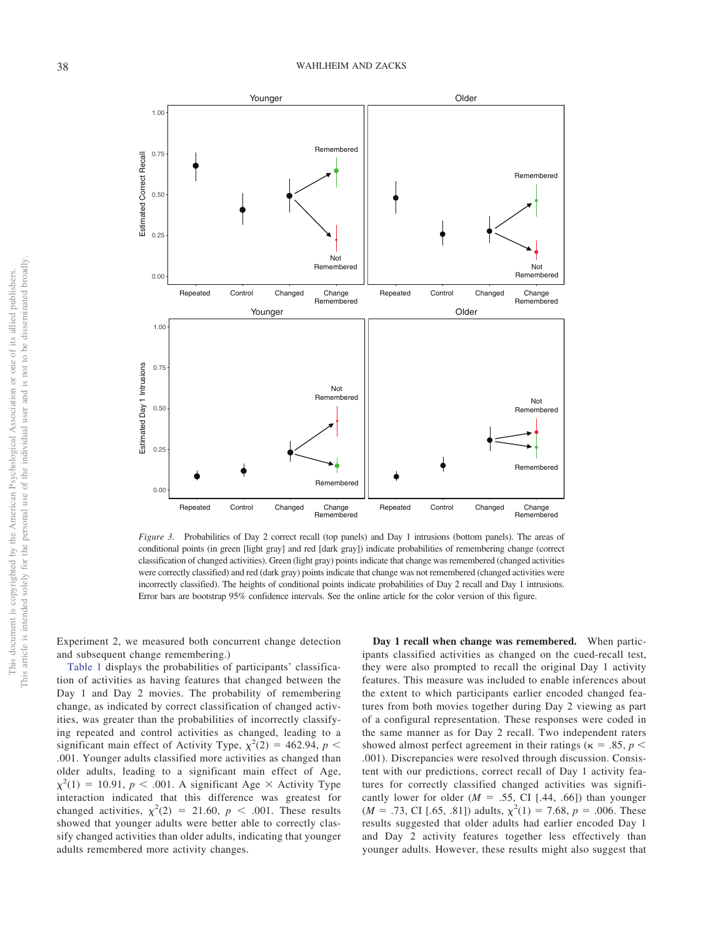

<span id="page-8-0"></span>*Figure 3.* Probabilities of Day 2 correct recall (top panels) and Day 1 intrusions (bottom panels). The areas of conditional points (in green [light gray] and red [dark gray]) indicate probabilities of remembering change (correct classification of changed activities). Green (light gray) points indicate that change was remembered (changed activities were correctly classified) and red (dark gray) points indicate that change was not remembered (changed activities were incorrectly classified). The heights of conditional points indicate probabilities of Day 2 recall and Day 1 intrusions. Error bars are bootstrap 95% confidence intervals. See the online article for the color version of this figure.

Experiment 2, we measured both concurrent change detection and subsequent change remembering.)

[Table 1](#page-9-0) displays the probabilities of participants' classification of activities as having features that changed between the Day 1 and Day 2 movies. The probability of remembering change, as indicated by correct classification of changed activities, was greater than the probabilities of incorrectly classifying repeated and control activities as changed, leading to a significant main effect of Activity Type,  $\chi^2(2) = 462.94$ ,  $p <$ .001. Younger adults classified more activities as changed than older adults, leading to a significant main effect of Age,  $\chi^2(1) = 10.91$ ,  $p < .001$ . A significant Age  $\times$  Activity Type interaction indicated that this difference was greatest for changed activities,  $\chi^2(2) = 21.60$ ,  $p < .001$ . These results showed that younger adults were better able to correctly classify changed activities than older adults, indicating that younger adults remembered more activity changes.

**Day 1 recall when change was remembered.** When participants classified activities as changed on the cued-recall test, they were also prompted to recall the original Day 1 activity features. This measure was included to enable inferences about the extent to which participants earlier encoded changed features from both movies together during Day 2 viewing as part of a configural representation. These responses were coded in the same manner as for Day 2 recall. Two independent raters showed almost perfect agreement in their ratings ( $\kappa = .85, p <$ .001). Discrepancies were resolved through discussion. Consistent with our predictions, correct recall of Day 1 activity features for correctly classified changed activities was significantly lower for older  $(M = .55, CI [.44, .66])$  than younger  $(M = .73, \text{ CI } [.65, .81])$  adults,  $\chi^2(1) = 7.68, p = .006$ . These results suggested that older adults had earlier encoded Day 1 and Day 2 activity features together less effectively than younger adults. However, these results might also suggest that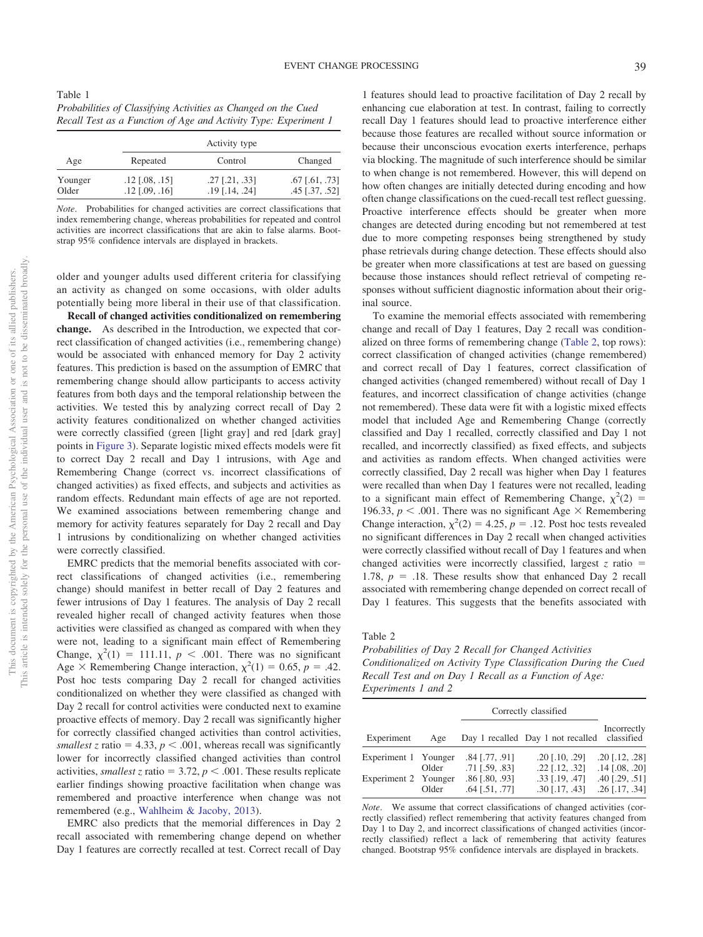<span id="page-9-0"></span>Table 1 *Probabilities of Classifying Activities as Changed on the Cued Recall Test as a Function of Age and Activity Type: Experiment 1*

| Age              | Activity type                        |                                                 |                                              |  |  |
|------------------|--------------------------------------|-------------------------------------------------|----------------------------------------------|--|--|
|                  | Repeated                             | Control                                         | Changed                                      |  |  |
| Younger<br>Older | $.12$ [.08, .15]<br>$.12$ [.09, .16] | $.27$ [ $.21, .33$ ]<br>$.19$ [ $.14$ , $.24$ ] | $.67$ [ $.61, .73$ ]<br>$.45$ [ $.37, .52$ ] |  |  |

*Note*. Probabilities for changed activities are correct classifications that index remembering change, whereas probabilities for repeated and control activities are incorrect classifications that are akin to false alarms. Bootstrap 95% confidence intervals are displayed in brackets.

older and younger adults used different criteria for classifying an activity as changed on some occasions, with older adults potentially being more liberal in their use of that classification.

**Recall of changed activities conditionalized on remembering change.** As described in the Introduction, we expected that correct classification of changed activities (i.e., remembering change) would be associated with enhanced memory for Day 2 activity features. This prediction is based on the assumption of EMRC that remembering change should allow participants to access activity features from both days and the temporal relationship between the activities. We tested this by analyzing correct recall of Day 2 activity features conditionalized on whether changed activities were correctly classified (green [light gray] and red [dark gray] points in [Figure 3\)](#page-8-0). Separate logistic mixed effects models were fit to correct Day 2 recall and Day 1 intrusions, with Age and Remembering Change (correct vs. incorrect classifications of changed activities) as fixed effects, and subjects and activities as random effects. Redundant main effects of age are not reported. We examined associations between remembering change and memory for activity features separately for Day 2 recall and Day 1 intrusions by conditionalizing on whether changed activities were correctly classified.

EMRC predicts that the memorial benefits associated with correct classifications of changed activities (i.e., remembering change) should manifest in better recall of Day 2 features and fewer intrusions of Day 1 features. The analysis of Day 2 recall revealed higher recall of changed activity features when those activities were classified as changed as compared with when they were not, leading to a significant main effect of Remembering Change,  $\chi^2(1) = 111.11$ ,  $p < .001$ . There was no significant Age  $\times$  Remembering Change interaction,  $\chi^2(1) = 0.65$ ,  $p = .42$ . Post hoc tests comparing Day 2 recall for changed activities conditionalized on whether they were classified as changed with Day 2 recall for control activities were conducted next to examine proactive effects of memory. Day 2 recall was significantly higher for correctly classified changed activities than control activities, *smallest* z ratio = 4.33,  $p < .001$ , whereas recall was significantly lower for incorrectly classified changed activities than control activities, *smallest z* ratio = 3.72,  $p < .001$ . These results replicate earlier findings showing proactive facilitation when change was remembered and proactive interference when change was not remembered (e.g., [Wahlheim & Jacoby, 2013\)](#page-20-10).

EMRC also predicts that the memorial differences in Day 2 recall associated with remembering change depend on whether Day 1 features are correctly recalled at test. Correct recall of Day

1 features should lead to proactive facilitation of Day 2 recall by enhancing cue elaboration at test. In contrast, failing to correctly recall Day 1 features should lead to proactive interference either because those features are recalled without source information or because their unconscious evocation exerts interference, perhaps via blocking. The magnitude of such interference should be similar to when change is not remembered. However, this will depend on how often changes are initially detected during encoding and how often change classifications on the cued-recall test reflect guessing. Proactive interference effects should be greater when more changes are detected during encoding but not remembered at test due to more competing responses being strengthened by study phase retrievals during change detection. These effects should also be greater when more classifications at test are based on guessing because those instances should reflect retrieval of competing responses without sufficient diagnostic information about their original source.

To examine the memorial effects associated with remembering change and recall of Day 1 features, Day 2 recall was conditionalized on three forms of remembering change [\(Table 2,](#page-9-1) top rows): correct classification of changed activities (change remembered) and correct recall of Day 1 features, correct classification of changed activities (changed remembered) without recall of Day 1 features, and incorrect classification of change activities (change not remembered). These data were fit with a logistic mixed effects model that included Age and Remembering Change (correctly classified and Day 1 recalled, correctly classified and Day 1 not recalled, and incorrectly classified) as fixed effects, and subjects and activities as random effects. When changed activities were correctly classified, Day 2 recall was higher when Day 1 features were recalled than when Day 1 features were not recalled, leading to a significant main effect of Remembering Change,  $\chi^2(2)$  = 196.33,  $p < .001$ . There was no significant Age  $\times$  Remembering Change interaction,  $\chi^2(2) = 4.25$ ,  $p = .12$ . Post hoc tests revealed no significant differences in Day 2 recall when changed activities were correctly classified without recall of Day 1 features and when changed activities were incorrectly classified, largest  $z$  ratio  $=$ 1.78,  $p = 0.18$ . These results show that enhanced Day 2 recall associated with remembering change depended on correct recall of Day 1 features. This suggests that the benefits associated with

<span id="page-9-1"></span>Table 2

*Probabilities of Day 2 Recall for Changed Activities Conditionalized on Activity Type Classification During the Cued Recall Test and on Day 1 Recall as a Function of Age: Experiments 1 and 2*

|                      |       | Correctly classified                         |                                              |                                             |
|----------------------|-------|----------------------------------------------|----------------------------------------------|---------------------------------------------|
| Experiment           | Age   |                                              | Day 1 recalled Day 1 not recalled classified | Incorrectly                                 |
| Experiment 1 Younger |       | $.84$ [.77, .91]                             | $.20$ [ $.10, .29$ ]                         | $.20$ [.12, .28]                            |
| Experiment 2 Younger | Older | $.71$ [ $.59, .83$ ]<br>$.86$ [ $.80, .93$ ] | $.22$ [ $.12$ , $.32$ ]<br>$.33$ [.19, .47]  | $.14$ [.08, .20]<br>$.40$ [ $.29$ , $.51$ ] |
|                      | Older | $.64$ [.51, .77]                             | $.30$ [.17, .43]                             | $.26$ [.17, .34]                            |

*Note*. We assume that correct classifications of changed activities (correctly classified) reflect remembering that activity features changed from Day 1 to Day 2, and incorrect classifications of changed activities (incorrectly classified) reflect a lack of remembering that activity features changed. Bootstrap 95% confidence intervals are displayed in brackets.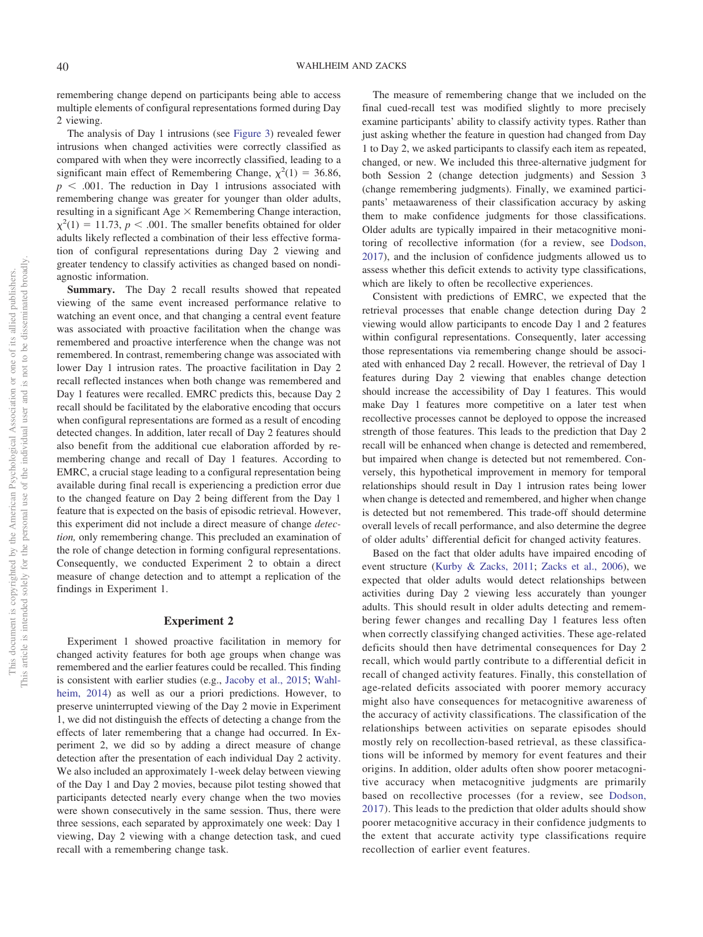remembering change depend on participants being able to access multiple elements of configural representations formed during Day 2 viewing.

The analysis of Day 1 intrusions (see [Figure 3\)](#page-8-0) revealed fewer intrusions when changed activities were correctly classified as compared with when they were incorrectly classified, leading to a significant main effect of Remembering Change,  $\chi^2(1) = 36.86$ ,  $p \leq 0.001$ . The reduction in Day 1 intrusions associated with remembering change was greater for younger than older adults, resulting in a significant Age  $\times$  Remembering Change interaction,  $\chi^2(1) = 11.73$ ,  $p < .001$ . The smaller benefits obtained for older adults likely reflected a combination of their less effective formation of configural representations during Day 2 viewing and greater tendency to classify activities as changed based on nondiagnostic information.

**Summary.** The Day 2 recall results showed that repeated viewing of the same event increased performance relative to watching an event once, and that changing a central event feature was associated with proactive facilitation when the change was remembered and proactive interference when the change was not remembered. In contrast, remembering change was associated with lower Day 1 intrusion rates. The proactive facilitation in Day 2 recall reflected instances when both change was remembered and Day 1 features were recalled. EMRC predicts this, because Day 2 recall should be facilitated by the elaborative encoding that occurs when configural representations are formed as a result of encoding detected changes. In addition, later recall of Day 2 features should also benefit from the additional cue elaboration afforded by remembering change and recall of Day 1 features. According to EMRC, a crucial stage leading to a configural representation being available during final recall is experiencing a prediction error due to the changed feature on Day 2 being different from the Day 1 feature that is expected on the basis of episodic retrieval. However, this experiment did not include a direct measure of change *detection,* only remembering change. This precluded an examination of the role of change detection in forming configural representations. Consequently, we conducted Experiment 2 to obtain a direct measure of change detection and to attempt a replication of the findings in Experiment 1.

### **Experiment 2**

Experiment 1 showed proactive facilitation in memory for changed activity features for both age groups when change was remembered and the earlier features could be recalled. This finding is consistent with earlier studies (e.g., [Jacoby et al., 2015;](#page-19-9) [Wahl](#page-20-18)[heim, 2014\)](#page-20-18) as well as our a priori predictions. However, to preserve uninterrupted viewing of the Day 2 movie in Experiment 1, we did not distinguish the effects of detecting a change from the effects of later remembering that a change had occurred. In Experiment 2, we did so by adding a direct measure of change detection after the presentation of each individual Day 2 activity. We also included an approximately 1-week delay between viewing of the Day 1 and Day 2 movies, because pilot testing showed that participants detected nearly every change when the two movies were shown consecutively in the same session. Thus, there were three sessions, each separated by approximately one week: Day 1 viewing, Day 2 viewing with a change detection task, and cued recall with a remembering change task.

The measure of remembering change that we included on the final cued-recall test was modified slightly to more precisely examine participants' ability to classify activity types. Rather than just asking whether the feature in question had changed from Day 1 to Day 2, we asked participants to classify each item as repeated, changed, or new. We included this three-alternative judgment for both Session 2 (change detection judgments) and Session 3 (change remembering judgments). Finally, we examined participants' metaawareness of their classification accuracy by asking them to make confidence judgments for those classifications. Older adults are typically impaired in their metacognitive monitoring of recollective information (for a review, see [Dodson,](#page-19-27) [2017\)](#page-19-27), and the inclusion of confidence judgments allowed us to assess whether this deficit extends to activity type classifications, which are likely to often be recollective experiences.

Consistent with predictions of EMRC, we expected that the retrieval processes that enable change detection during Day 2 viewing would allow participants to encode Day 1 and 2 features within configural representations. Consequently, later accessing those representations via remembering change should be associated with enhanced Day 2 recall. However, the retrieval of Day 1 features during Day 2 viewing that enables change detection should increase the accessibility of Day 1 features. This would make Day 1 features more competitive on a later test when recollective processes cannot be deployed to oppose the increased strength of those features. This leads to the prediction that Day 2 recall will be enhanced when change is detected and remembered, but impaired when change is detected but not remembered. Conversely, this hypothetical improvement in memory for temporal relationships should result in Day 1 intrusion rates being lower when change is detected and remembered, and higher when change is detected but not remembered. This trade-off should determine overall levels of recall performance, and also determine the degree of older adults' differential deficit for changed activity features.

Based on the fact that older adults have impaired encoding of event structure [\(Kurby & Zacks, 2011;](#page-19-16) [Zacks et al., 2006\)](#page-20-6), we expected that older adults would detect relationships between activities during Day 2 viewing less accurately than younger adults. This should result in older adults detecting and remembering fewer changes and recalling Day 1 features less often when correctly classifying changed activities. These age-related deficits should then have detrimental consequences for Day 2 recall, which would partly contribute to a differential deficit in recall of changed activity features. Finally, this constellation of age-related deficits associated with poorer memory accuracy might also have consequences for metacognitive awareness of the accuracy of activity classifications. The classification of the relationships between activities on separate episodes should mostly rely on recollection-based retrieval, as these classifications will be informed by memory for event features and their origins. In addition, older adults often show poorer metacognitive accuracy when metacognitive judgments are primarily based on recollective processes (for a review, see [Dodson,](#page-19-27) [2017\)](#page-19-27). This leads to the prediction that older adults should show poorer metacognitive accuracy in their confidence judgments to the extent that accurate activity type classifications require recollection of earlier event features.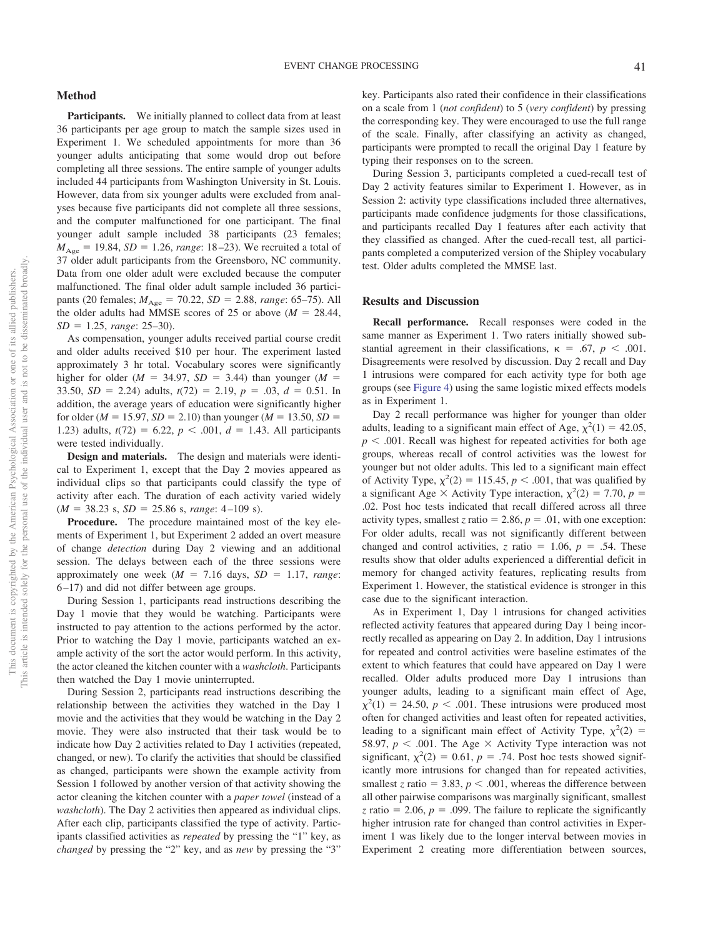Participants. We initially planned to collect data from at least 36 participants per age group to match the sample sizes used in Experiment 1. We scheduled appointments for more than 36 younger adults anticipating that some would drop out before completing all three sessions. The entire sample of younger adults included 44 participants from Washington University in St. Louis. However, data from six younger adults were excluded from analyses because five participants did not complete all three sessions, and the computer malfunctioned for one participant. The final younger adult sample included 38 participants (23 females;  $M_{\text{Age}} = 19.84, SD = 1.26, range: 18–23$ ). We recruited a total of 37 older adult participants from the Greensboro, NC community. Data from one older adult were excluded because the computer malfunctioned. The final older adult sample included 36 participants (20 females;  $M_{\text{Age}} = 70.22$ ,  $SD = 2.88$ , *range*: 65–75). All the older adults had MMSE scores of 25 or above  $(M = 28.44,$ *SD* - 1.25, *range*: 25–30).

As compensation, younger adults received partial course credit and older adults received \$10 per hour. The experiment lasted approximately 3 hr total. Vocabulary scores were significantly higher for older  $(M = 34.97, SD = 3.44)$  than younger  $(M =$ 33.50,  $SD = 2.24$ ) adults,  $t(72) = 2.19$ ,  $p = .03$ ,  $d = 0.51$ . In addition, the average years of education were significantly higher for older ( $M = 15.97$ ,  $SD = 2.10$ ) than younger ( $M = 13.50$ ,  $SD =$ 1.23) adults,  $t(72) = 6.22$ ,  $p < .001$ ,  $d = 1.43$ . All participants were tested individually.

**Design and materials.** The design and materials were identical to Experiment 1, except that the Day 2 movies appeared as individual clips so that participants could classify the type of activity after each. The duration of each activity varied widely  $(M = 38.23 \text{ s}, SD = 25.86 \text{ s}, range: 4-109 \text{ s}).$ 

**Procedure.** The procedure maintained most of the key elements of Experiment 1, but Experiment 2 added an overt measure of change *detection* during Day 2 viewing and an additional session. The delays between each of the three sessions were approximately one week  $(M = 7.16 \text{ days}, SD = 1.17, range$ : 6 –17) and did not differ between age groups.

During Session 1, participants read instructions describing the Day 1 movie that they would be watching. Participants were instructed to pay attention to the actions performed by the actor. Prior to watching the Day 1 movie, participants watched an example activity of the sort the actor would perform. In this activity, the actor cleaned the kitchen counter with a *washcloth*. Participants then watched the Day 1 movie uninterrupted.

During Session 2, participants read instructions describing the relationship between the activities they watched in the Day 1 movie and the activities that they would be watching in the Day 2 movie. They were also instructed that their task would be to indicate how Day 2 activities related to Day 1 activities (repeated, changed, or new). To clarify the activities that should be classified as changed, participants were shown the example activity from Session 1 followed by another version of that activity showing the actor cleaning the kitchen counter with a *paper towel* (instead of a *washcloth*). The Day 2 activities then appeared as individual clips. After each clip, participants classified the type of activity. Participants classified activities as *repeated* by pressing the "1" key, as *changed* by pressing the "2" key, and as *new* by pressing the "3" key. Participants also rated their confidence in their classifications on a scale from 1 (*not confident*) to 5 (*very confident*) by pressing the corresponding key. They were encouraged to use the full range of the scale. Finally, after classifying an activity as changed, participants were prompted to recall the original Day 1 feature by typing their responses on to the screen.

During Session 3, participants completed a cued-recall test of Day 2 activity features similar to Experiment 1. However, as in Session 2: activity type classifications included three alternatives, participants made confidence judgments for those classifications, and participants recalled Day 1 features after each activity that they classified as changed. After the cued-recall test, all participants completed a computerized version of the Shipley vocabulary test. Older adults completed the MMSE last.

#### **Results and Discussion**

**Recall performance.** Recall responses were coded in the same manner as Experiment 1. Two raters initially showed substantial agreement in their classifications,  $\kappa = .67$ ,  $p < .001$ . Disagreements were resolved by discussion. Day 2 recall and Day 1 intrusions were compared for each activity type for both age groups (see [Figure 4\)](#page-12-0) using the same logistic mixed effects models as in Experiment 1.

Day 2 recall performance was higher for younger than older adults, leading to a significant main effect of Age,  $\chi^2(1) = 42.05$ ,  $p < .001$ . Recall was highest for repeated activities for both age groups, whereas recall of control activities was the lowest for younger but not older adults. This led to a significant main effect of Activity Type,  $\chi^2(2) = 115.45$ ,  $p < .001$ , that was qualified by a significant Age  $\times$  Activity Type interaction,  $\chi^2(2) = 7.70$ ,  $p =$ .02. Post hoc tests indicated that recall differed across all three activity types, smallest *z* ratio = 2.86,  $p = .01$ , with one exception: For older adults, recall was not significantly different between changed and control activities,  $z$  ratio = 1.06,  $p = .54$ . These results show that older adults experienced a differential deficit in memory for changed activity features, replicating results from Experiment 1. However, the statistical evidence is stronger in this case due to the significant interaction.

As in Experiment 1, Day 1 intrusions for changed activities reflected activity features that appeared during Day 1 being incorrectly recalled as appearing on Day 2. In addition, Day 1 intrusions for repeated and control activities were baseline estimates of the extent to which features that could have appeared on Day 1 were recalled. Older adults produced more Day 1 intrusions than younger adults, leading to a significant main effect of Age,  $\chi^2(1) = 24.50, p < .001$ . These intrusions were produced most often for changed activities and least often for repeated activities, leading to a significant main effect of Activity Type,  $\chi^2(2)$  = 58.97,  $p < .001$ . The Age  $\times$  Activity Type interaction was not significant,  $\chi^2(2) = 0.61$ ,  $p = .74$ . Post hoc tests showed significantly more intrusions for changed than for repeated activities, smallest *z* ratio = 3.83,  $p < .001$ , whereas the difference between all other pairwise comparisons was marginally significant, smallest *z* ratio = 2.06,  $p = 0.099$ . The failure to replicate the significantly higher intrusion rate for changed than control activities in Experiment 1 was likely due to the longer interval between movies in Experiment 2 creating more differentiation between sources,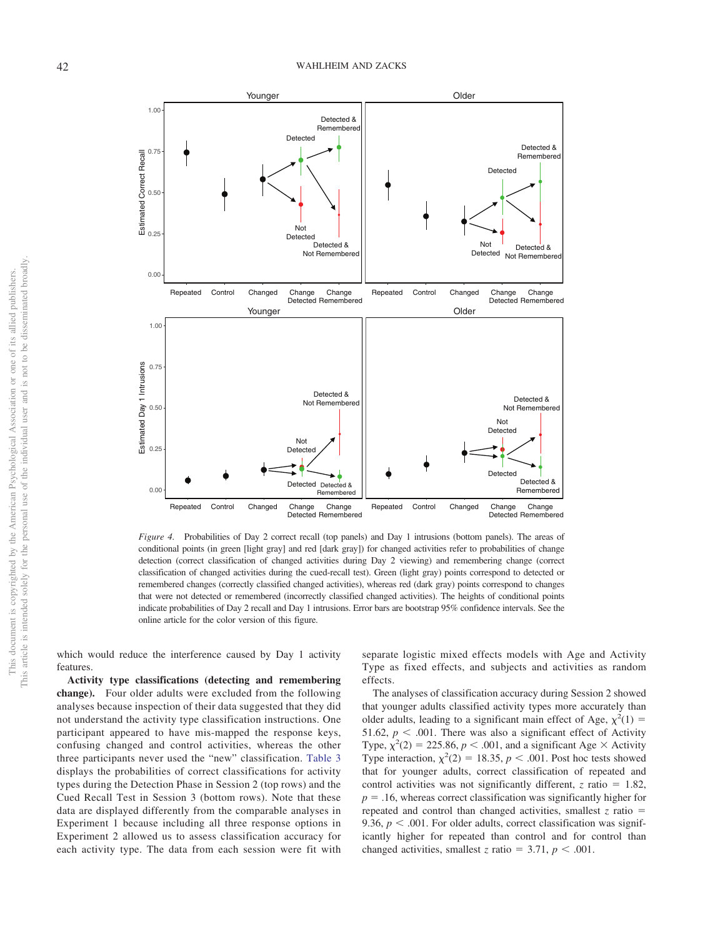

<span id="page-12-0"></span>*Figure 4.* Probabilities of Day 2 correct recall (top panels) and Day 1 intrusions (bottom panels). The areas of conditional points (in green [light gray] and red [dark gray]) for changed activities refer to probabilities of change detection (correct classification of changed activities during Day 2 viewing) and remembering change (correct classification of changed activities during the cued-recall test). Green (light gray) points correspond to detected or remembered changes (correctly classified changed activities), whereas red (dark gray) points correspond to changes that were not detected or remembered (incorrectly classified changed activities). The heights of conditional points indicate probabilities of Day 2 recall and Day 1 intrusions. Error bars are bootstrap 95% confidence intervals. See the online article for the color version of this figure.

which would reduce the interference caused by Day 1 activity features.

**Activity type classifications (detecting and remembering change).** Four older adults were excluded from the following analyses because inspection of their data suggested that they did not understand the activity type classification instructions. One participant appeared to have mis-mapped the response keys, confusing changed and control activities, whereas the other three participants never used the "new" classification. [Table 3](#page-13-0) displays the probabilities of correct classifications for activity types during the Detection Phase in Session 2 (top rows) and the Cued Recall Test in Session 3 (bottom rows). Note that these data are displayed differently from the comparable analyses in Experiment 1 because including all three response options in Experiment 2 allowed us to assess classification accuracy for each activity type. The data from each session were fit with

separate logistic mixed effects models with Age and Activity Type as fixed effects, and subjects and activities as random effects.

The analyses of classification accuracy during Session 2 showed that younger adults classified activity types more accurately than older adults, leading to a significant main effect of Age,  $\chi^2(1)$  = 51.62,  $p < .001$ . There was also a significant effect of Activity Type,  $\chi^2(2) = 225.86$ ,  $p < .001$ , and a significant Age  $\times$  Activity Type interaction,  $\chi^2(2) = 18.35$ ,  $p < .001$ . Post hoc tests showed that for younger adults, correct classification of repeated and control activities was not significantly different,  $z$  ratio = 1.82,  $p = 0.16$ , whereas correct classification was significantly higher for repeated and control than changed activities, smallest  $z$  ratio  $=$ 9.36,  $p < .001$ . For older adults, correct classification was significantly higher for repeated than control and for control than changed activities, smallest *z* ratio = 3.71,  $p < .001$ .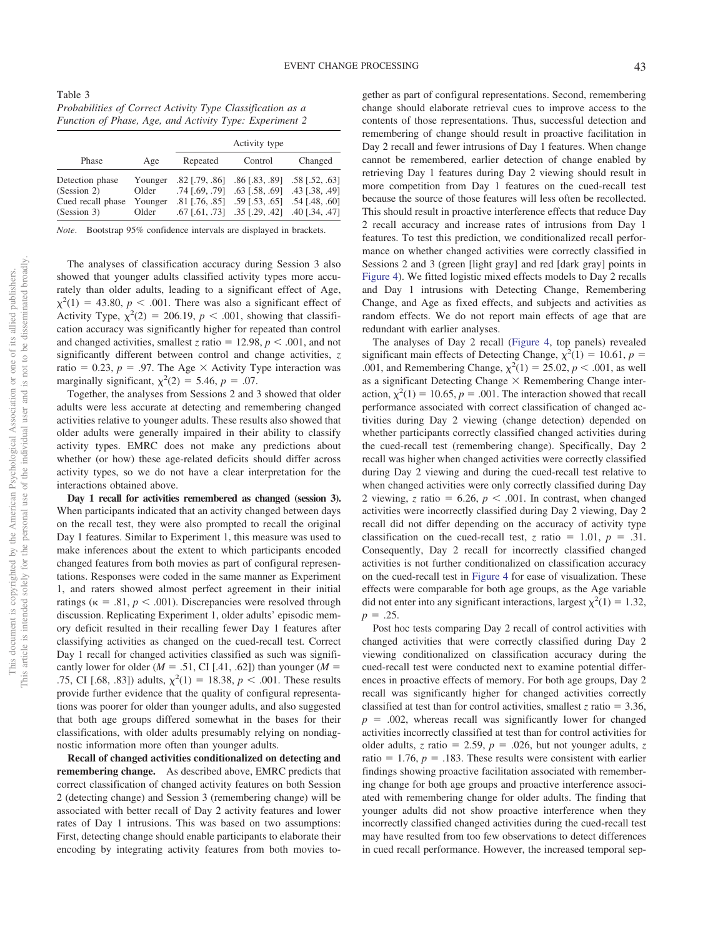<span id="page-13-0"></span>Table 3 *Probabilities of Correct Activity Type Classification as a Function of Phase, Age, and Activity Type: Experiment 2*

|                                                                    |                                      | Activity type                                          |                                                                                                                                                           |         |
|--------------------------------------------------------------------|--------------------------------------|--------------------------------------------------------|-----------------------------------------------------------------------------------------------------------------------------------------------------------|---------|
| Phase                                                              | Age                                  | Repeated                                               | Control                                                                                                                                                   | Changed |
| Detection phase<br>(Session 2)<br>Cued recall phase<br>(Session 3) | Younger<br>Older<br>Younger<br>Older | $.82$ [.79, .86]<br>.74 [.69, .79]<br>$.81$ [.76, .85] | $.86$ [.83, .89] $.58$ [.52, .63]<br>$.63$ [.58, .69] .43 [.38, .49]<br>$.59$ [.53, .65] $.54$ [.48, .60]<br>.67 [.61, .73] .35 [.29, .42] .40 [.34, .47] |         |

*Note*. Bootstrap 95% confidence intervals are displayed in brackets.

The analyses of classification accuracy during Session 3 also showed that younger adults classified activity types more accurately than older adults, leading to a significant effect of Age,  $\chi^2(1) = 43.80, p < .001$ . There was also a significant effect of Activity Type,  $\chi^2(2) = 206.19$ ,  $p < .001$ , showing that classification accuracy was significantly higher for repeated than control and changed activities, smallest *z* ratio =  $12.98$ ,  $p < .001$ , and not significantly different between control and change activities, *z* ratio = 0.23,  $p = .97$ . The Age  $\times$  Activity Type interaction was marginally significant,  $\chi^2(2) = 5.46$ ,  $p = .07$ .

Together, the analyses from Sessions 2 and 3 showed that older adults were less accurate at detecting and remembering changed activities relative to younger adults. These results also showed that older adults were generally impaired in their ability to classify activity types. EMRC does not make any predictions about whether (or how) these age-related deficits should differ across activity types, so we do not have a clear interpretation for the interactions obtained above.

**Day 1 recall for activities remembered as changed (session 3).** When participants indicated that an activity changed between days on the recall test, they were also prompted to recall the original Day 1 features. Similar to Experiment 1, this measure was used to make inferences about the extent to which participants encoded changed features from both movies as part of configural representations. Responses were coded in the same manner as Experiment 1, and raters showed almost perfect agreement in their initial ratings ( $\kappa = .81$ ,  $p < .001$ ). Discrepancies were resolved through discussion. Replicating Experiment 1, older adults' episodic memory deficit resulted in their recalling fewer Day 1 features after classifying activities as changed on the cued-recall test. Correct Day 1 recall for changed activities classified as such was significantly lower for older  $(M = .51, CI [.41, .62])$  than younger  $(M =$ .75, CI [.68, .83]) adults,  $\chi^2(1) = 18.38$ ,  $p < .001$ . These results provide further evidence that the quality of configural representations was poorer for older than younger adults, and also suggested that both age groups differed somewhat in the bases for their classifications, with older adults presumably relying on nondiagnostic information more often than younger adults.

**Recall of changed activities conditionalized on detecting and remembering change.** As described above, EMRC predicts that correct classification of changed activity features on both Session 2 (detecting change) and Session 3 (remembering change) will be associated with better recall of Day 2 activity features and lower rates of Day 1 intrusions. This was based on two assumptions: First, detecting change should enable participants to elaborate their encoding by integrating activity features from both movies together as part of configural representations. Second, remembering change should elaborate retrieval cues to improve access to the contents of those representations. Thus, successful detection and remembering of change should result in proactive facilitation in Day 2 recall and fewer intrusions of Day 1 features. When change cannot be remembered, earlier detection of change enabled by retrieving Day 1 features during Day 2 viewing should result in more competition from Day 1 features on the cued-recall test because the source of those features will less often be recollected. This should result in proactive interference effects that reduce Day 2 recall accuracy and increase rates of intrusions from Day 1 features. To test this prediction, we conditionalized recall performance on whether changed activities were correctly classified in Sessions 2 and 3 (green [light gray] and red [dark gray] points in [Figure 4\)](#page-12-0). We fitted logistic mixed effects models to Day 2 recalls and Day 1 intrusions with Detecting Change, Remembering Change, and Age as fixed effects, and subjects and activities as random effects. We do not report main effects of age that are redundant with earlier analyses.

The analyses of Day 2 recall [\(Figure 4,](#page-12-0) top panels) revealed significant main effects of Detecting Change,  $\chi^2(1) = 10.61$ ,  $p =$ .001, and Remembering Change,  $\chi^2(1) = 25.02, p < .001$ , as well as a significant Detecting Change  $\times$  Remembering Change interaction,  $\chi^2(1) = 10.65$ ,  $p = .001$ . The interaction showed that recall performance associated with correct classification of changed activities during Day 2 viewing (change detection) depended on whether participants correctly classified changed activities during the cued-recall test (remembering change). Specifically, Day 2 recall was higher when changed activities were correctly classified during Day 2 viewing and during the cued-recall test relative to when changed activities were only correctly classified during Day 2 viewing, *z* ratio =  $6.26$ ,  $p < .001$ . In contrast, when changed activities were incorrectly classified during Day 2 viewing, Day 2 recall did not differ depending on the accuracy of activity type classification on the cued-recall test, *z* ratio = 1.01,  $p = .31$ . Consequently, Day 2 recall for incorrectly classified changed activities is not further conditionalized on classification accuracy on the cued-recall test in [Figure 4](#page-12-0) for ease of visualization. These effects were comparable for both age groups, as the Age variable did not enter into any significant interactions, largest  $\chi^2(1) = 1.32$ ,  $p = .25$ .

Post hoc tests comparing Day 2 recall of control activities with changed activities that were correctly classified during Day 2 viewing conditionalized on classification accuracy during the cued-recall test were conducted next to examine potential differences in proactive effects of memory. For both age groups, Day 2 recall was significantly higher for changed activities correctly classified at test than for control activities, smallest  $z$  ratio = 3.36,  $p = .002$ , whereas recall was significantly lower for changed activities incorrectly classified at test than for control activities for older adults, *z* ratio = 2.59,  $p = .026$ , but not younger adults, *z* ratio =  $1.76$ ,  $p = .183$ . These results were consistent with earlier findings showing proactive facilitation associated with remembering change for both age groups and proactive interference associated with remembering change for older adults. The finding that younger adults did not show proactive interference when they incorrectly classified changed activities during the cued-recall test may have resulted from too few observations to detect differences in cued recall performance. However, the increased temporal sep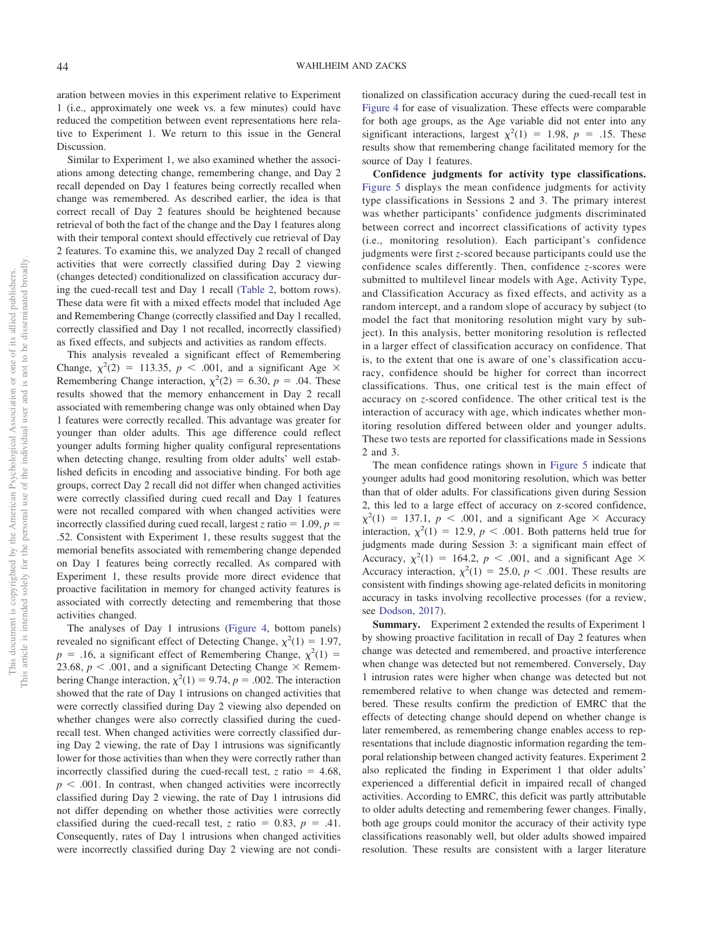aration between movies in this experiment relative to Experiment 1 (i.e., approximately one week vs. a few minutes) could have reduced the competition between event representations here relative to Experiment 1. We return to this issue in the General Discussion.

Similar to Experiment 1, we also examined whether the associations among detecting change, remembering change, and Day 2 recall depended on Day 1 features being correctly recalled when change was remembered. As described earlier, the idea is that correct recall of Day 2 features should be heightened because retrieval of both the fact of the change and the Day 1 features along with their temporal context should effectively cue retrieval of Day 2 features. To examine this, we analyzed Day 2 recall of changed activities that were correctly classified during Day 2 viewing (changes detected) conditionalized on classification accuracy during the cued-recall test and Day 1 recall [\(Table 2,](#page-9-1) bottom rows). These data were fit with a mixed effects model that included Age and Remembering Change (correctly classified and Day 1 recalled, correctly classified and Day 1 not recalled, incorrectly classified) as fixed effects, and subjects and activities as random effects.

This analysis revealed a significant effect of Remembering Change,  $\chi^2(2) = 113.35$ ,  $p < .001$ , and a significant Age  $\times$ Remembering Change interaction,  $\chi^2(2) = 6.30$ ,  $p = .04$ . These results showed that the memory enhancement in Day 2 recall associated with remembering change was only obtained when Day 1 features were correctly recalled. This advantage was greater for younger than older adults. This age difference could reflect younger adults forming higher quality configural representations when detecting change, resulting from older adults' well established deficits in encoding and associative binding. For both age groups, correct Day 2 recall did not differ when changed activities were correctly classified during cued recall and Day 1 features were not recalled compared with when changed activities were incorrectly classified during cued recall, largest *z* ratio =  $1.09$ ,  $p =$ .52. Consistent with Experiment 1, these results suggest that the memorial benefits associated with remembering change depended on Day 1 features being correctly recalled. As compared with Experiment 1, these results provide more direct evidence that proactive facilitation in memory for changed activity features is associated with correctly detecting and remembering that those activities changed.

The analyses of Day 1 intrusions [\(Figure 4,](#page-12-0) bottom panels) revealed no significant effect of Detecting Change,  $\chi^2(1) = 1.97$ ,  $p = .16$ , a significant effect of Remembering Change,  $\chi^2(1) =$ 23.68,  $p < .001$ , and a significant Detecting Change  $\times$  Remembering Change interaction,  $\chi^2(1) = 9.74$ ,  $p = .002$ . The interaction showed that the rate of Day 1 intrusions on changed activities that were correctly classified during Day 2 viewing also depended on whether changes were also correctly classified during the cuedrecall test. When changed activities were correctly classified during Day 2 viewing, the rate of Day 1 intrusions was significantly lower for those activities than when they were correctly rather than incorrectly classified during the cued-recall test,  $z$  ratio = 4.68,  $p < .001$ . In contrast, when changed activities were incorrectly classified during Day 2 viewing, the rate of Day 1 intrusions did not differ depending on whether those activities were correctly classified during the cued-recall test,  $z$  ratio = 0.83,  $p = .41$ . Consequently, rates of Day 1 intrusions when changed activities were incorrectly classified during Day 2 viewing are not conditionalized on classification accuracy during the cued-recall test in [Figure 4](#page-12-0) for ease of visualization. These effects were comparable for both age groups, as the Age variable did not enter into any significant interactions, largest  $\chi^2(1) = 1.98$ ,  $p = .15$ . These results show that remembering change facilitated memory for the source of Day 1 features.

**Confidence judgments for activity type classifications.** [Figure 5](#page-15-0) displays the mean confidence judgments for activity type classifications in Sessions 2 and 3. The primary interest was whether participants' confidence judgments discriminated between correct and incorrect classifications of activity types (i.e., monitoring resolution). Each participant's confidence judgments were first *z*-scored because participants could use the confidence scales differently. Then, confidence *z*-scores were submitted to multilevel linear models with Age, Activity Type, and Classification Accuracy as fixed effects, and activity as a random intercept, and a random slope of accuracy by subject (to model the fact that monitoring resolution might vary by subject). In this analysis, better monitoring resolution is reflected in a larger effect of classification accuracy on confidence. That is, to the extent that one is aware of one's classification accuracy, confidence should be higher for correct than incorrect classifications. Thus, one critical test is the main effect of accuracy on *z*-scored confidence. The other critical test is the interaction of accuracy with age, which indicates whether monitoring resolution differed between older and younger adults. These two tests are reported for classifications made in Sessions 2 and 3.

The mean confidence ratings shown in [Figure 5](#page-15-0) indicate that younger adults had good monitoring resolution, which was better than that of older adults. For classifications given during Session 2, this led to a large effect of accuracy on z-scored confidence,  $\chi^2(1)$  = 137.1, *p* < .001, and a significant Age × Accuracy interaction,  $\chi^2(1) = 12.9$ ,  $p < .001$ . Both patterns held true for judgments made during Session 3: a significant main effect of Accuracy,  $\chi^2(1) = 164.2$ ,  $p < .001$ , and a significant Age  $\times$ Accuracy interaction,  $\chi^2(1) = 25.0, p < .001$ . These results are consistent with findings showing age-related deficits in monitoring accuracy in tasks involving recollective processes (for a review, see [Dodson, 2017\)](#page-19-27).

**Summary.** Experiment 2 extended the results of Experiment 1 by showing proactive facilitation in recall of Day 2 features when change was detected and remembered, and proactive interference when change was detected but not remembered. Conversely, Day 1 intrusion rates were higher when change was detected but not remembered relative to when change was detected and remembered. These results confirm the prediction of EMRC that the effects of detecting change should depend on whether change is later remembered, as remembering change enables access to representations that include diagnostic information regarding the temporal relationship between changed activity features. Experiment 2 also replicated the finding in Experiment 1 that older adults' experienced a differential deficit in impaired recall of changed activities. According to EMRC, this deficit was partly attributable to older adults detecting and remembering fewer changes. Finally, both age groups could monitor the accuracy of their activity type classifications reasonably well, but older adults showed impaired resolution. These results are consistent with a larger literature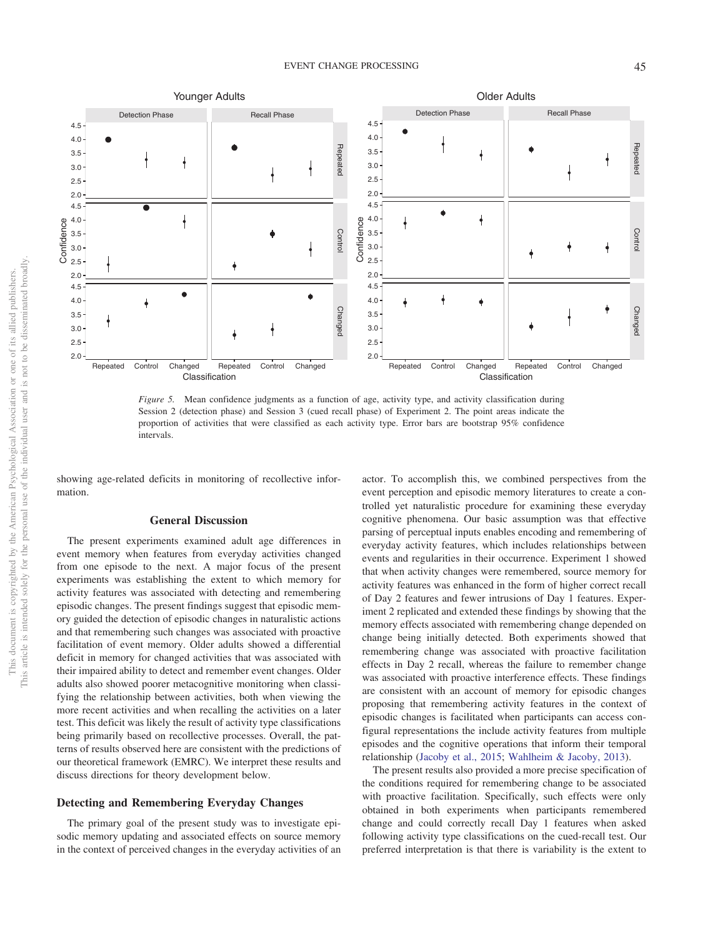

<span id="page-15-0"></span>*Figure 5.* Mean confidence judgments as a function of age, activity type, and activity classification during Session 2 (detection phase) and Session 3 (cued recall phase) of Experiment 2. The point areas indicate the proportion of activities that were classified as each activity type. Error bars are bootstrap 95% confidence intervals.

showing age-related deficits in monitoring of recollective information.

# **General Discussion**

The present experiments examined adult age differences in event memory when features from everyday activities changed from one episode to the next. A major focus of the present experiments was establishing the extent to which memory for activity features was associated with detecting and remembering episodic changes. The present findings suggest that episodic memory guided the detection of episodic changes in naturalistic actions and that remembering such changes was associated with proactive facilitation of event memory. Older adults showed a differential deficit in memory for changed activities that was associated with their impaired ability to detect and remember event changes. Older adults also showed poorer metacognitive monitoring when classifying the relationship between activities, both when viewing the more recent activities and when recalling the activities on a later test. This deficit was likely the result of activity type classifications being primarily based on recollective processes. Overall, the patterns of results observed here are consistent with the predictions of our theoretical framework (EMRC). We interpret these results and discuss directions for theory development below.

## **Detecting and Remembering Everyday Changes**

The primary goal of the present study was to investigate episodic memory updating and associated effects on source memory in the context of perceived changes in the everyday activities of an actor. To accomplish this, we combined perspectives from the event perception and episodic memory literatures to create a controlled yet naturalistic procedure for examining these everyday cognitive phenomena. Our basic assumption was that effective parsing of perceptual inputs enables encoding and remembering of everyday activity features, which includes relationships between events and regularities in their occurrence. Experiment 1 showed that when activity changes were remembered, source memory for activity features was enhanced in the form of higher correct recall of Day 2 features and fewer intrusions of Day 1 features. Experiment 2 replicated and extended these findings by showing that the memory effects associated with remembering change depended on change being initially detected. Both experiments showed that remembering change was associated with proactive facilitation effects in Day 2 recall, whereas the failure to remember change was associated with proactive interference effects. These findings are consistent with an account of memory for episodic changes proposing that remembering activity features in the context of episodic changes is facilitated when participants can access configural representations the include activity features from multiple episodes and the cognitive operations that inform their temporal relationship [\(Jacoby et al., 2015;](#page-19-9) [Wahlheim & Jacoby, 2013\)](#page-20-10).

The present results also provided a more precise specification of the conditions required for remembering change to be associated with proactive facilitation. Specifically, such effects were only obtained in both experiments when participants remembered change and could correctly recall Day 1 features when asked following activity type classifications on the cued-recall test. Our preferred interpretation is that there is variability is the extent to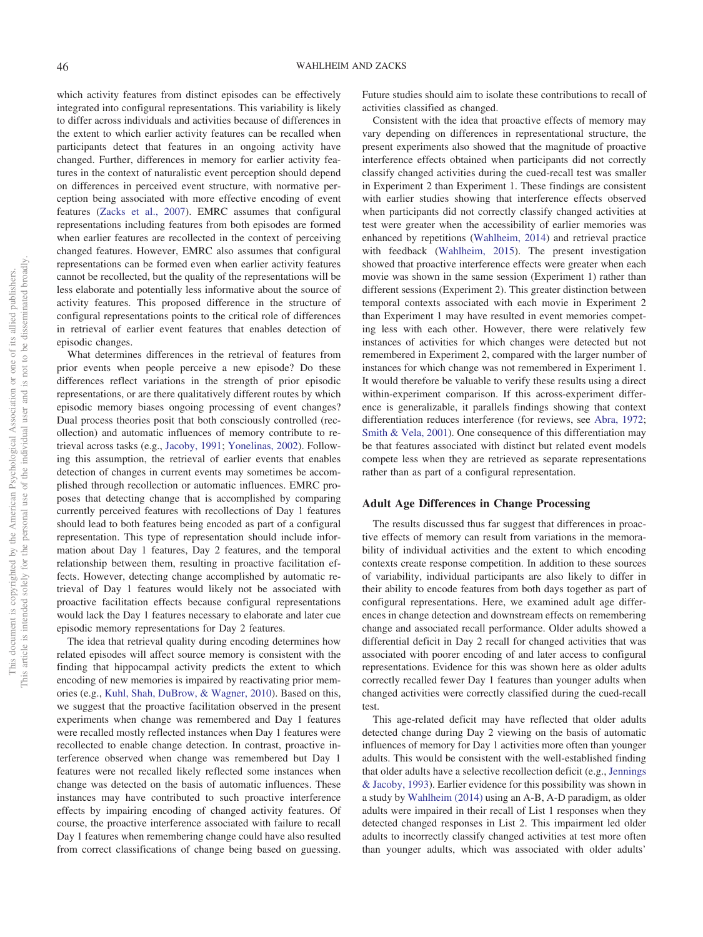which activity features from distinct episodes can be effectively integrated into configural representations. This variability is likely to differ across individuals and activities because of differences in the extent to which earlier activity features can be recalled when participants detect that features in an ongoing activity have changed. Further, differences in memory for earlier activity features in the context of naturalistic event perception should depend on differences in perceived event structure, with normative perception being associated with more effective encoding of event features [\(Zacks et al., 2007\)](#page-20-7). EMRC assumes that configural representations including features from both episodes are formed when earlier features are recollected in the context of perceiving changed features. However, EMRC also assumes that configural representations can be formed even when earlier activity features cannot be recollected, but the quality of the representations will be less elaborate and potentially less informative about the source of activity features. This proposed difference in the structure of configural representations points to the critical role of differences in retrieval of earlier event features that enables detection of episodic changes.

What determines differences in the retrieval of features from prior events when people perceive a new episode? Do these differences reflect variations in the strength of prior episodic representations, or are there qualitatively different routes by which episodic memory biases ongoing processing of event changes? Dual process theories posit that both consciously controlled (recollection) and automatic influences of memory contribute to retrieval across tasks (e.g., [Jacoby, 1991;](#page-19-28) [Yonelinas, 2002\)](#page-20-27). Following this assumption, the retrieval of earlier events that enables detection of changes in current events may sometimes be accomplished through recollection or automatic influences. EMRC proposes that detecting change that is accomplished by comparing currently perceived features with recollections of Day 1 features should lead to both features being encoded as part of a configural representation. This type of representation should include information about Day 1 features, Day 2 features, and the temporal relationship between them, resulting in proactive facilitation effects. However, detecting change accomplished by automatic retrieval of Day 1 features would likely not be associated with proactive facilitation effects because configural representations would lack the Day 1 features necessary to elaborate and later cue episodic memory representations for Day 2 features.

The idea that retrieval quality during encoding determines how related episodes will affect source memory is consistent with the finding that hippocampal activity predicts the extent to which encoding of new memories is impaired by reactivating prior memories (e.g., [Kuhl, Shah, DuBrow, & Wagner, 2010\)](#page-19-29). Based on this, we suggest that the proactive facilitation observed in the present experiments when change was remembered and Day 1 features were recalled mostly reflected instances when Day 1 features were recollected to enable change detection. In contrast, proactive interference observed when change was remembered but Day 1 features were not recalled likely reflected some instances when change was detected on the basis of automatic influences. These instances may have contributed to such proactive interference effects by impairing encoding of changed activity features. Of course, the proactive interference associated with failure to recall Day 1 features when remembering change could have also resulted from correct classifications of change being based on guessing.

Future studies should aim to isolate these contributions to recall of activities classified as changed.

Consistent with the idea that proactive effects of memory may vary depending on differences in representational structure, the present experiments also showed that the magnitude of proactive interference effects obtained when participants did not correctly classify changed activities during the cued-recall test was smaller in Experiment 2 than Experiment 1. These findings are consistent with earlier studies showing that interference effects observed when participants did not correctly classify changed activities at test were greater when the accessibility of earlier memories was enhanced by repetitions [\(Wahlheim, 2014\)](#page-20-18) and retrieval practice with feedback [\(Wahlheim, 2015\)](#page-20-28). The present investigation showed that proactive interference effects were greater when each movie was shown in the same session (Experiment 1) rather than different sessions (Experiment 2). This greater distinction between temporal contexts associated with each movie in Experiment 2 than Experiment 1 may have resulted in event memories competing less with each other. However, there were relatively few instances of activities for which changes were detected but not remembered in Experiment 2, compared with the larger number of instances for which change was not remembered in Experiment 1. It would therefore be valuable to verify these results using a direct within-experiment comparison. If this across-experiment difference is generalizable, it parallels findings showing that context differentiation reduces interference (for reviews, see [Abra, 1972;](#page-18-4) [Smith & Vela, 2001\)](#page-20-21). One consequence of this differentiation may be that features associated with distinct but related event models compete less when they are retrieved as separate representations rather than as part of a configural representation.

### **Adult Age Differences in Change Processing**

The results discussed thus far suggest that differences in proactive effects of memory can result from variations in the memorability of individual activities and the extent to which encoding contexts create response competition. In addition to these sources of variability, individual participants are also likely to differ in their ability to encode features from both days together as part of configural representations. Here, we examined adult age differences in change detection and downstream effects on remembering change and associated recall performance. Older adults showed a differential deficit in Day 2 recall for changed activities that was associated with poorer encoding of and later access to configural representations. Evidence for this was shown here as older adults correctly recalled fewer Day 1 features than younger adults when changed activities were correctly classified during the cued-recall test.

This age-related deficit may have reflected that older adults detected change during Day 2 viewing on the basis of automatic influences of memory for Day 1 activities more often than younger adults. This would be consistent with the well-established finding that older adults have a selective recollection deficit (e.g., [Jennings](#page-19-30) [& Jacoby, 1993\)](#page-19-30). Earlier evidence for this possibility was shown in a study by [Wahlheim \(2014\)](#page-20-18) using an A-B, A-D paradigm, as older adults were impaired in their recall of List 1 responses when they detected changed responses in List 2. This impairment led older adults to incorrectly classify changed activities at test more often than younger adults, which was associated with older adults'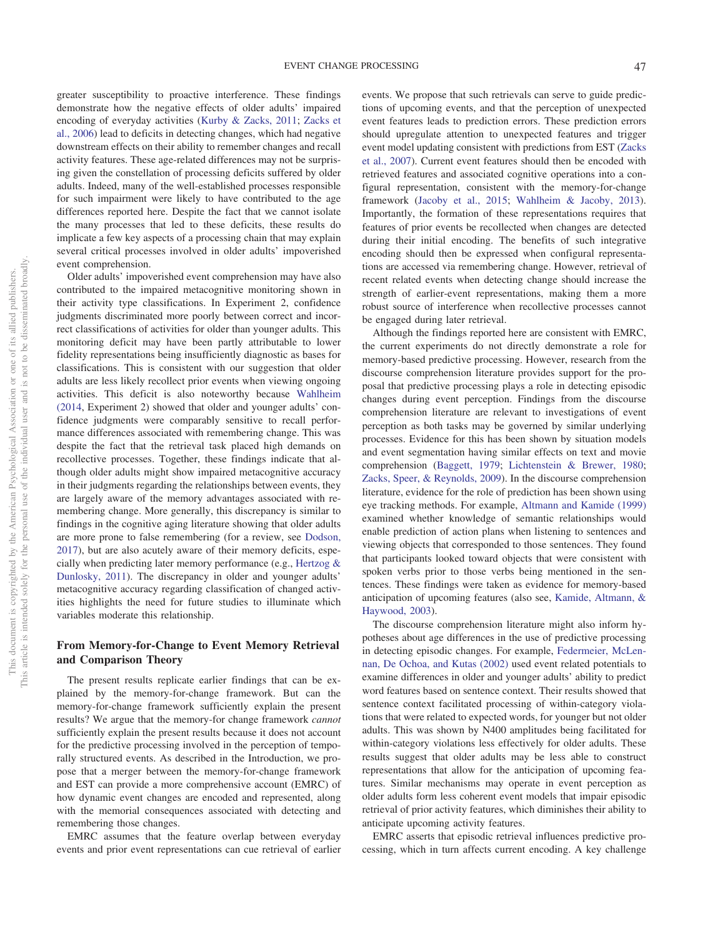greater susceptibility to proactive interference. These findings demonstrate how the negative effects of older adults' impaired encoding of everyday activities [\(Kurby & Zacks, 2011;](#page-19-16) [Zacks et](#page-20-6) [al., 2006\)](#page-20-6) lead to deficits in detecting changes, which had negative downstream effects on their ability to remember changes and recall activity features. These age-related differences may not be surprising given the constellation of processing deficits suffered by older adults. Indeed, many of the well-established processes responsible for such impairment were likely to have contributed to the age differences reported here. Despite the fact that we cannot isolate the many processes that led to these deficits, these results do implicate a few key aspects of a processing chain that may explain several critical processes involved in older adults' impoverished event comprehension.

Older adults' impoverished event comprehension may have also contributed to the impaired metacognitive monitoring shown in their activity type classifications. In Experiment 2, confidence judgments discriminated more poorly between correct and incorrect classifications of activities for older than younger adults. This monitoring deficit may have been partly attributable to lower fidelity representations being insufficiently diagnostic as bases for classifications. This is consistent with our suggestion that older adults are less likely recollect prior events when viewing ongoing activities. This deficit is also noteworthy because [Wahlheim](#page-20-18) [\(2014,](#page-20-18) Experiment 2) showed that older and younger adults' confidence judgments were comparably sensitive to recall performance differences associated with remembering change. This was despite the fact that the retrieval task placed high demands on recollective processes. Together, these findings indicate that although older adults might show impaired metacognitive accuracy in their judgments regarding the relationships between events, they are largely aware of the memory advantages associated with remembering change. More generally, this discrepancy is similar to findings in the cognitive aging literature showing that older adults are more prone to false remembering (for a review, see [Dodson,](#page-19-27) [2017\)](#page-19-27), but are also acutely aware of their memory deficits, especially when predicting later memory performance (e.g., [Hertzog &](#page-19-31) [Dunlosky, 2011\)](#page-19-31). The discrepancy in older and younger adults' metacognitive accuracy regarding classification of changed activities highlights the need for future studies to illuminate which variables moderate this relationship.

# **From Memory-for-Change to Event Memory Retrieval and Comparison Theory**

The present results replicate earlier findings that can be explained by the memory-for-change framework. But can the memory-for-change framework sufficiently explain the present results? We argue that the memory-for change framework *cannot* sufficiently explain the present results because it does not account for the predictive processing involved in the perception of temporally structured events. As described in the Introduction, we propose that a merger between the memory-for-change framework and EST can provide a more comprehensive account (EMRC) of how dynamic event changes are encoded and represented, along with the memorial consequences associated with detecting and remembering those changes.

EMRC assumes that the feature overlap between everyday events and prior event representations can cue retrieval of earlier events. We propose that such retrievals can serve to guide predictions of upcoming events, and that the perception of unexpected event features leads to prediction errors. These prediction errors should upregulate attention to unexpected features and trigger event model updating consistent with predictions from EST [\(Zacks](#page-20-7) [et al., 2007\)](#page-20-7). Current event features should then be encoded with retrieved features and associated cognitive operations into a configural representation, consistent with the memory-for-change framework [\(Jacoby et al., 2015;](#page-19-9) [Wahlheim & Jacoby, 2013\)](#page-20-10). Importantly, the formation of these representations requires that features of prior events be recollected when changes are detected during their initial encoding. The benefits of such integrative encoding should then be expressed when configural representations are accessed via remembering change. However, retrieval of recent related events when detecting change should increase the strength of earlier-event representations, making them a more robust source of interference when recollective processes cannot be engaged during later retrieval.

Although the findings reported here are consistent with EMRC, the current experiments do not directly demonstrate a role for memory-based predictive processing. However, research from the discourse comprehension literature provides support for the proposal that predictive processing plays a role in detecting episodic changes during event perception. Findings from the discourse comprehension literature are relevant to investigations of event perception as both tasks may be governed by similar underlying processes. Evidence for this has been shown by situation models and event segmentation having similar effects on text and movie comprehension [\(Baggett, 1979;](#page-18-5) [Lichtenstein & Brewer, 1980;](#page-19-32) [Zacks, Speer, & Reynolds, 2009\)](#page-20-29). In the discourse comprehension literature, evidence for the role of prediction has been shown using eye tracking methods. For example, [Altmann and Kamide \(1999\)](#page-18-6) examined whether knowledge of semantic relationships would enable prediction of action plans when listening to sentences and viewing objects that corresponded to those sentences. They found that participants looked toward objects that were consistent with spoken verbs prior to those verbs being mentioned in the sentences. These findings were taken as evidence for memory-based anticipation of upcoming features (also see, [Kamide, Altmann, &](#page-19-33) [Haywood, 2003\)](#page-19-33).

The discourse comprehension literature might also inform hypotheses about age differences in the use of predictive processing in detecting episodic changes. For example, [Federmeier, McLen](#page-19-34)[nan, De Ochoa, and Kutas \(2002\)](#page-19-34) used event related potentials to examine differences in older and younger adults' ability to predict word features based on sentence context. Their results showed that sentence context facilitated processing of within-category violations that were related to expected words, for younger but not older adults. This was shown by N400 amplitudes being facilitated for within-category violations less effectively for older adults. These results suggest that older adults may be less able to construct representations that allow for the anticipation of upcoming features. Similar mechanisms may operate in event perception as older adults form less coherent event models that impair episodic retrieval of prior activity features, which diminishes their ability to anticipate upcoming activity features.

EMRC asserts that episodic retrieval influences predictive processing, which in turn affects current encoding. A key challenge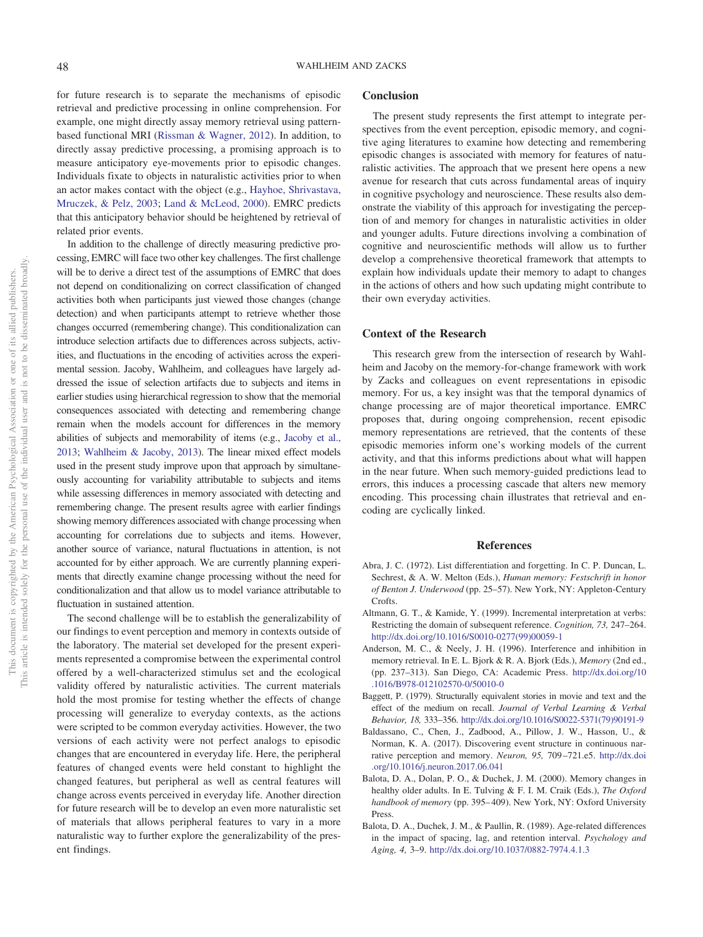for future research is to separate the mechanisms of episodic retrieval and predictive processing in online comprehension. For example, one might directly assay memory retrieval using patternbased functional MRI [\(Rissman & Wagner, 2012\)](#page-20-30). In addition, to directly assay predictive processing, a promising approach is to measure anticipatory eye-movements prior to episodic changes. Individuals fixate to objects in naturalistic activities prior to when an actor makes contact with the object (e.g., [Hayhoe, Shrivastava,](#page-19-35) [Mruczek, & Pelz, 2003;](#page-19-35) [Land & McLeod, 2000\)](#page-19-36). EMRC predicts that this anticipatory behavior should be heightened by retrieval of related prior events.

In addition to the challenge of directly measuring predictive processing, EMRC will face two other key challenges. The first challenge will be to derive a direct test of the assumptions of EMRC that does not depend on conditionalizing on correct classification of changed activities both when participants just viewed those changes (change detection) and when participants attempt to retrieve whether those changes occurred (remembering change). This conditionalization can introduce selection artifacts due to differences across subjects, activities, and fluctuations in the encoding of activities across the experimental session. Jacoby, Wahlheim, and colleagues have largely addressed the issue of selection artifacts due to subjects and items in earlier studies using hierarchical regression to show that the memorial consequences associated with detecting and remembering change remain when the models account for differences in the memory abilities of subjects and memorability of items (e.g., [Jacoby et al.,](#page-19-15) [2013;](#page-19-15) [Wahlheim & Jacoby, 2013\)](#page-20-10). The linear mixed effect models used in the present study improve upon that approach by simultaneously accounting for variability attributable to subjects and items while assessing differences in memory associated with detecting and remembering change. The present results agree with earlier findings showing memory differences associated with change processing when accounting for correlations due to subjects and items. However, another source of variance, natural fluctuations in attention, is not accounted for by either approach. We are currently planning experiments that directly examine change processing without the need for conditionalization and that allow us to model variance attributable to fluctuation in sustained attention.

The second challenge will be to establish the generalizability of our findings to event perception and memory in contexts outside of the laboratory. The material set developed for the present experiments represented a compromise between the experimental control offered by a well-characterized stimulus set and the ecological validity offered by naturalistic activities. The current materials hold the most promise for testing whether the effects of change processing will generalize to everyday contexts, as the actions were scripted to be common everyday activities. However, the two versions of each activity were not perfect analogs to episodic changes that are encountered in everyday life. Here, the peripheral features of changed events were held constant to highlight the changed features, but peripheral as well as central features will change across events perceived in everyday life. Another direction for future research will be to develop an even more naturalistic set of materials that allows peripheral features to vary in a more naturalistic way to further explore the generalizability of the present findings.

#### **Conclusion**

The present study represents the first attempt to integrate perspectives from the event perception, episodic memory, and cognitive aging literatures to examine how detecting and remembering episodic changes is associated with memory for features of naturalistic activities. The approach that we present here opens a new avenue for research that cuts across fundamental areas of inquiry in cognitive psychology and neuroscience. These results also demonstrate the viability of this approach for investigating the perception of and memory for changes in naturalistic activities in older and younger adults. Future directions involving a combination of cognitive and neuroscientific methods will allow us to further develop a comprehensive theoretical framework that attempts to explain how individuals update their memory to adapt to changes in the actions of others and how such updating might contribute to their own everyday activities.

## **Context of the Research**

This research grew from the intersection of research by Wahlheim and Jacoby on the memory-for-change framework with work by Zacks and colleagues on event representations in episodic memory. For us, a key insight was that the temporal dynamics of change processing are of major theoretical importance. EMRC proposes that, during ongoing comprehension, recent episodic memory representations are retrieved, that the contents of these episodic memories inform one's working models of the current activity, and that this informs predictions about what will happen in the near future. When such memory-guided predictions lead to errors, this induces a processing cascade that alters new memory encoding. This processing chain illustrates that retrieval and encoding are cyclically linked.

#### **References**

- <span id="page-18-4"></span>Abra, J. C. (1972). List differentiation and forgetting. In C. P. Duncan, L. Sechrest, & A. W. Melton (Eds.), *Human memory: Festschrift in honor of Benton J. Underwood* (pp. 25–57). New York, NY: Appleton-Century Crofts.
- <span id="page-18-6"></span>Altmann, G. T., & Kamide, Y. (1999). Incremental interpretation at verbs: Restricting the domain of subsequent reference. *Cognition, 73,* 247–264. [http://dx.doi.org/10.1016/S0010-0277\(99\)00059-1](http://dx.doi.org/10.1016/S0010-0277%2899%2900059-1)
- <span id="page-18-1"></span>Anderson, M. C., & Neely, J. H. (1996). Interference and inhibition in memory retrieval. In E. L. Bjork & R. A. Bjork (Eds.), *Memory* (2nd ed., (pp. 237–313). San Diego, CA: Academic Press. [http://dx.doi.org/10](http://dx.doi.org/10.1016/B978-012102570-0/50010-0) [.1016/B978-012102570-0/50010-0](http://dx.doi.org/10.1016/B978-012102570-0/50010-0)
- <span id="page-18-5"></span>Baggett, P. (1979). Structurally equivalent stories in movie and text and the effect of the medium on recall. *Journal of Verbal Learning & Verbal Behavior, 18,* 333–356. [http://dx.doi.org/10.1016/S0022-5371\(79\)90191-9](http://dx.doi.org/10.1016/S0022-5371%2879%2990191-9)
- <span id="page-18-0"></span>Baldassano, C., Chen, J., Zadbood, A., Pillow, J. W., Hasson, U., & Norman, K. A. (2017). Discovering event structure in continuous narrative perception and memory. *Neuron, 95,* 709 –721.e5. [http://dx.doi](http://dx.doi.org/10.1016/j.neuron.2017.06.041) [.org/10.1016/j.neuron.2017.06.041](http://dx.doi.org/10.1016/j.neuron.2017.06.041)
- <span id="page-18-2"></span>Balota, D. A., Dolan, P. O., & Duchek, J. M. (2000). Memory changes in healthy older adults. In E. Tulving & F. I. M. Craik (Eds.), *The Oxford handbook of memory* (pp. 395– 409). New York, NY: Oxford University Press.
- <span id="page-18-3"></span>Balota, D. A., Duchek, J. M., & Paullin, R. (1989). Age-related differences in the impact of spacing, lag, and retention interval. *Psychology and Aging, 4,* 3–9. <http://dx.doi.org/10.1037/0882-7974.4.1.3>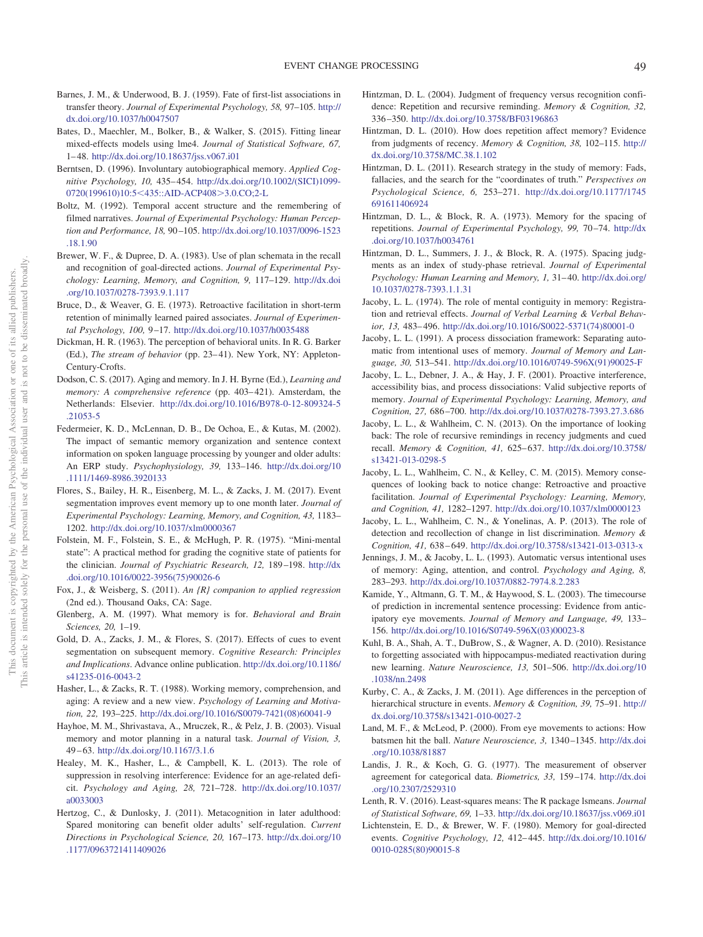- <span id="page-19-7"></span>Barnes, J. M., & Underwood, B. J. (1959). Fate of first-list associations in transfer theory. *Journal of Experimental Psychology, 58,* 97–105. [http://](http://dx.doi.org/10.1037/h0047507) [dx.doi.org/10.1037/h0047507](http://dx.doi.org/10.1037/h0047507)
- <span id="page-19-23"></span>Bates, D., Maechler, M., Bolker, B., & Walker, S. (2015). Fitting linear mixed-effects models using lme4. *Journal of Statistical Software, 67,* 1– 48. <http://dx.doi.org/10.18637/jss.v067.i01>
- <span id="page-19-20"></span>Berntsen, D. (1996). Involuntary autobiographical memory. *Applied Cognitive Psychology, 10,* 435– 454. [http://dx.doi.org/10.1002/\(SICI\)1099-](http://dx.doi.org/10.1002/%28SICI%291099-0720%28199610%2910:5%3C435::AID-ACP408%3E3.0.CO;2-L) 0720(199610)10:5<[435::AID-ACP408](http://dx.doi.org/10.1002/%28SICI%291099-0720%28199610%2910:5%3C435::AID-ACP408%3E3.0.CO;2-L)>3.0.CO;2-L
- <span id="page-19-3"></span>Boltz, M. (1992). Temporal accent structure and the remembering of filmed narratives. *Journal of Experimental Psychology: Human Perception and Performance, 18,* 90 –105. [http://dx.doi.org/10.1037/0096-1523](http://dx.doi.org/10.1037/0096-1523.18.1.90) [.18.1.90](http://dx.doi.org/10.1037/0096-1523.18.1.90)
- <span id="page-19-0"></span>Brewer, W. F., & Dupree, D. A. (1983). Use of plan schemata in the recall and recognition of goal-directed actions. *Journal of Experimental Psychology: Learning, Memory, and Cognition, 9,* 117–129. [http://dx.doi](http://dx.doi.org/10.1037/0278-7393.9.1.117) [.org/10.1037/0278-7393.9.1.117](http://dx.doi.org/10.1037/0278-7393.9.1.117)
- <span id="page-19-8"></span>Bruce, D., & Weaver, G. E. (1973). Retroactive facilitation in short-term retention of minimally learned paired associates. *Journal of Experimental Psychology, 100,* 9 –17. <http://dx.doi.org/10.1037/h0035488>
- <span id="page-19-1"></span>Dickman, H. R. (1963). The perception of behavioral units. In R. G. Barker (Ed.), *The stream of behavior* (pp. 23–41). New York, NY: Appleton-Century-Crofts.
- <span id="page-19-27"></span>Dodson, C. S. (2017). Aging and memory. In J. H. Byrne (Ed.), *Learning and memory: A comprehensive reference* (pp. 403-421). Amsterdam, the Netherlands: Elsevier. [http://dx.doi.org/10.1016/B978-0-12-809324-5](http://dx.doi.org/10.1016/B978-0-12-809324-5.21053-5) [.21053-5](http://dx.doi.org/10.1016/B978-0-12-809324-5.21053-5)
- <span id="page-19-34"></span>Federmeier, K. D., McLennan, D. B., De Ochoa, E., & Kutas, M. (2002). The impact of semantic memory organization and sentence context information on spoken language processing by younger and older adults: An ERP study. *Psychophysiology, 39,* 133–146. [http://dx.doi.org/10](http://dx.doi.org/10.1111/1469-8986.3920133) [.1111/1469-8986.3920133](http://dx.doi.org/10.1111/1469-8986.3920133)
- <span id="page-19-2"></span>Flores, S., Bailey, H. R., Eisenberg, M. L., & Zacks, J. M. (2017). Event segmentation improves event memory up to one month later. *Journal of Experimental Psychology: Learning, Memory, and Cognition, 43,* 1183– 1202. <http://dx.doi.org/10.1037/xlm0000367>
- <span id="page-19-22"></span>Folstein, M. F., Folstein, S. E., & McHugh, P. R. (1975). "Mini-mental state": A practical method for grading the cognitive state of patients for the clinician. *Journal of Psychiatric Research, 12,* 189 –198. [http://dx](http://dx.doi.org/10.1016/0022-3956%2875%2990026-6) [.doi.org/10.1016/0022-3956\(75\)90026-6](http://dx.doi.org/10.1016/0022-3956%2875%2990026-6)
- <span id="page-19-24"></span>Fox, J., & Weisberg, S. (2011). *An {R} companion to applied regression* (2nd ed.). Thousand Oaks, CA: Sage.
- <span id="page-19-5"></span>Glenberg, A. M. (1997). What memory is for. *Behavioral and Brain Sciences, 20,* 1–19.
- <span id="page-19-4"></span>Gold, D. A., Zacks, J. M., & Flores, S. (2017). Effects of cues to event segmentation on subsequent memory. *Cognitive Research: Principles and Implications*. Advance online publication. [http://dx.doi.org/10.1186/](http://dx.doi.org/10.1186/s41235-016-0043-2) [s41235-016-0043-2](http://dx.doi.org/10.1186/s41235-016-0043-2)
- <span id="page-19-17"></span>Hasher, L., & Zacks, R. T. (1988). Working memory, comprehension, and aging: A review and a new view. *Psychology of Learning and Motivation, 22,* 193–225. [http://dx.doi.org/10.1016/S0079-7421\(08\)60041-9](http://dx.doi.org/10.1016/S0079-7421%2808%2960041-9)
- <span id="page-19-35"></span>Hayhoe, M. M., Shrivastava, A., Mruczek, R., & Pelz, J. B. (2003). Visual memory and motor planning in a natural task. *Journal of Vision, 3,* 49 – 63. <http://dx.doi.org/10.1167/3.1.6>
- <span id="page-19-18"></span>Healey, M. K., Hasher, L., & Campbell, K. L. (2013). The role of suppression in resolving interference: Evidence for an age-related deficit. *Psychology and Aging, 28,* 721–728. [http://dx.doi.org/10.1037/](http://dx.doi.org/10.1037/a0033003) [a0033003](http://dx.doi.org/10.1037/a0033003)
- <span id="page-19-31"></span>Hertzog, C., & Dunlosky, J. (2011). Metacognition in later adulthood: Spared monitoring can benefit older adults' self-regulation. *Current Directions in Psychological Science, 20,* 167–173. [http://dx.doi.org/10](http://dx.doi.org/10.1177/0963721411409026) [.1177/0963721411409026](http://dx.doi.org/10.1177/0963721411409026)
- <span id="page-19-12"></span>Hintzman, D. L. (2004). Judgment of frequency versus recognition confidence: Repetition and recursive reminding. *Memory & Cognition, 32,* 336 –350. <http://dx.doi.org/10.3758/BF03196863>
- <span id="page-19-13"></span>Hintzman, D. L. (2010). How does repetition affect memory? Evidence from judgments of recency. *Memory & Cognition, 38,* 102–115. [http://](http://dx.doi.org/10.3758/MC.38.1.102) [dx.doi.org/10.3758/MC.38.1.102](http://dx.doi.org/10.3758/MC.38.1.102)
- <span id="page-19-6"></span>Hintzman, D. L. (2011). Research strategy in the study of memory: Fads, fallacies, and the search for the "coordinates of truth." *Perspectives on Psychological Science, 6,* 253–271. [http://dx.doi.org/10.1177/1745](http://dx.doi.org/10.1177/1745691611406924) [691611406924](http://dx.doi.org/10.1177/1745691611406924)
- <span id="page-19-11"></span>Hintzman, D. L., & Block, R. A. (1973). Memory for the spacing of repetitions. *Journal of Experimental Psychology, 99, 70-74.* [http://dx](http://dx.doi.org/10.1037/h0034761) [.doi.org/10.1037/h0034761](http://dx.doi.org/10.1037/h0034761)
- <span id="page-19-10"></span>Hintzman, D. L., Summers, J. J., & Block, R. A. (1975). Spacing judgments as an index of study-phase retrieval. *Journal of Experimental* Psychology: Human Learning and Memory, 1, 31-40. [http://dx.doi.org/](http://dx.doi.org/10.1037/0278-7393.1.1.31) [10.1037/0278-7393.1.1.31](http://dx.doi.org/10.1037/0278-7393.1.1.31)
- <span id="page-19-21"></span>Jacoby, L. L. (1974). The role of mental contiguity in memory: Registration and retrieval effects. *Journal of Verbal Learning & Verbal Behavior, 13,* 483– 496. [http://dx.doi.org/10.1016/S0022-5371\(74\)80001-0](http://dx.doi.org/10.1016/S0022-5371%2874%2980001-0)
- <span id="page-19-28"></span>Jacoby, L. L. (1991). A process dissociation framework: Separating automatic from intentional uses of memory. *Journal of Memory and Language, 30,* 513–541. [http://dx.doi.org/10.1016/0749-596X\(91\)90025-F](http://dx.doi.org/10.1016/0749-596X%2891%2990025-F)
- <span id="page-19-19"></span>Jacoby, L. L., Debner, J. A., & Hay, J. F. (2001). Proactive interference, accessibility bias, and process dissociations: Valid subjective reports of memory. *Journal of Experimental Psychology: Learning, Memory, and Cognition, 27,* 686 –700. <http://dx.doi.org/10.1037/0278-7393.27.3.686>
- <span id="page-19-14"></span>Jacoby, L. L., & Wahlheim, C. N. (2013). On the importance of looking back: The role of recursive remindings in recency judgments and cued recall. *Memory & Cognition, 41, 625-637.* [http://dx.doi.org/10.3758/](http://dx.doi.org/10.3758/s13421-013-0298-5) [s13421-013-0298-5](http://dx.doi.org/10.3758/s13421-013-0298-5)
- <span id="page-19-9"></span>Jacoby, L. L., Wahlheim, C. N., & Kelley, C. M. (2015). Memory consequences of looking back to notice change: Retroactive and proactive facilitation. *Journal of Experimental Psychology: Learning, Memory, and Cognition, 41,* 1282–1297. <http://dx.doi.org/10.1037/xlm0000123>
- <span id="page-19-15"></span>Jacoby, L. L., Wahlheim, C. N., & Yonelinas, A. P. (2013). The role of detection and recollection of change in list discrimination. *Memory & Cognition, 41,* 638 – 649. <http://dx.doi.org/10.3758/s13421-013-0313-x>
- <span id="page-19-30"></span>Jennings, J. M., & Jacoby, L. L. (1993). Automatic versus intentional uses of memory: Aging, attention, and control. *Psychology and Aging, 8,* 283–293. <http://dx.doi.org/10.1037/0882-7974.8.2.283>
- <span id="page-19-33"></span>Kamide, Y., Altmann, G. T. M., & Haywood, S. L. (2003). The timecourse of prediction in incremental sentence processing: Evidence from anticipatory eye movements. *Journal of Memory and Language, 49,* 133– 156. [http://dx.doi.org/10.1016/S0749-596X\(03\)00023-8](http://dx.doi.org/10.1016/S0749-596X%2803%2900023-8)
- <span id="page-19-29"></span>Kuhl, B. A., Shah, A. T., DuBrow, S., & Wagner, A. D. (2010). Resistance to forgetting associated with hippocampus-mediated reactivation during new learning. *Nature Neuroscience, 13,* 501–506. [http://dx.doi.org/10](http://dx.doi.org/10.1038/nn.2498) [.1038/nn.2498](http://dx.doi.org/10.1038/nn.2498)
- <span id="page-19-16"></span>Kurby, C. A., & Zacks, J. M. (2011). Age differences in the perception of hierarchical structure in events. *Memory & Cognition, 39,* 75–91. [http://](http://dx.doi.org/10.3758/s13421-010-0027-2) [dx.doi.org/10.3758/s13421-010-0027-2](http://dx.doi.org/10.3758/s13421-010-0027-2)
- <span id="page-19-36"></span>Land, M. F., & McLeod, P. (2000). From eye movements to actions: How batsmen hit the ball. *Nature Neuroscience, 3,* 1340 –1345. [http://dx.doi](http://dx.doi.org/10.1038/81887) [.org/10.1038/81887](http://dx.doi.org/10.1038/81887)
- <span id="page-19-26"></span>Landis, J. R., & Koch, G. G. (1977). The measurement of observer agreement for categorical data. *Biometrics, 33,* 159 –174. [http://dx.doi](http://dx.doi.org/10.2307/2529310) [.org/10.2307/2529310](http://dx.doi.org/10.2307/2529310)
- <span id="page-19-25"></span>Lenth, R. V. (2016). Least-squares means: The R package lsmeans. *Journal of Statistical Software, 69,* 1–33. <http://dx.doi.org/10.18637/jss.v069.i01>
- <span id="page-19-32"></span>Lichtenstein, E. D., & Brewer, W. F. (1980). Memory for goal-directed events. *Cognitive Psychology, 12,* 412– 445. [http://dx.doi.org/10.1016/](http://dx.doi.org/10.1016/0010-0285%2880%2990015-8) [0010-0285\(80\)90015-8](http://dx.doi.org/10.1016/0010-0285%2880%2990015-8)